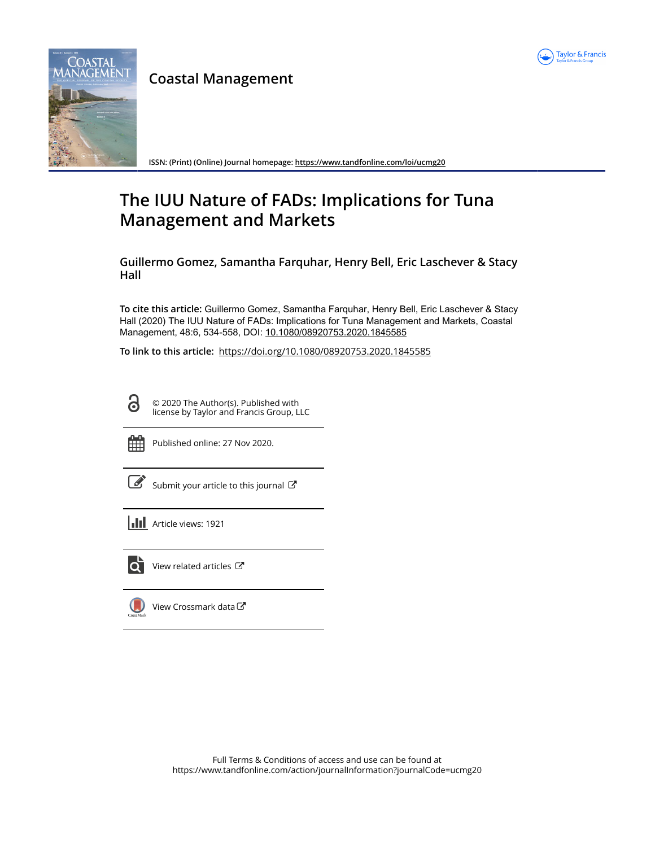



## Coastal Management

ISSN: (Print) (Online) Journal homepage: <https://www.tandfonline.com/loi/ucmg20>

# The IUU Nature of FADs: Implications for Tuna Management and Markets

Guillermo Gomez, Samantha Farquhar, Henry Bell, Eric Laschever & Stacy Hall

To cite this article: Guillermo Gomez, Samantha Farquhar, Henry Bell, Eric Laschever & Stacy Hall (2020) The IUU Nature of FADs: Implications for Tuna Management and Markets, Coastal Management, 48:6, 534-558, DOI: [10.1080/08920753.2020.1845585](https://www.tandfonline.com/action/showCitFormats?doi=10.1080/08920753.2020.1845585)

To link to this article: <https://doi.org/10.1080/08920753.2020.1845585>

© 2020 The Author(s). Published with license by Taylor and Francis Group, LLC



Ö

Published online: 27 Nov 2020.

|--|

[Submit your article to this journal](https://www.tandfonline.com/action/authorSubmission?journalCode=ucmg20&show=instructions)  $\mathbb{Z}$ 





[View related articles](https://www.tandfonline.com/doi/mlt/10.1080/08920753.2020.1845585) C



[View Crossmark data](http://crossmark.crossref.org/dialog/?doi=10.1080/08920753.2020.1845585&domain=pdf&date_stamp=2020-11-27)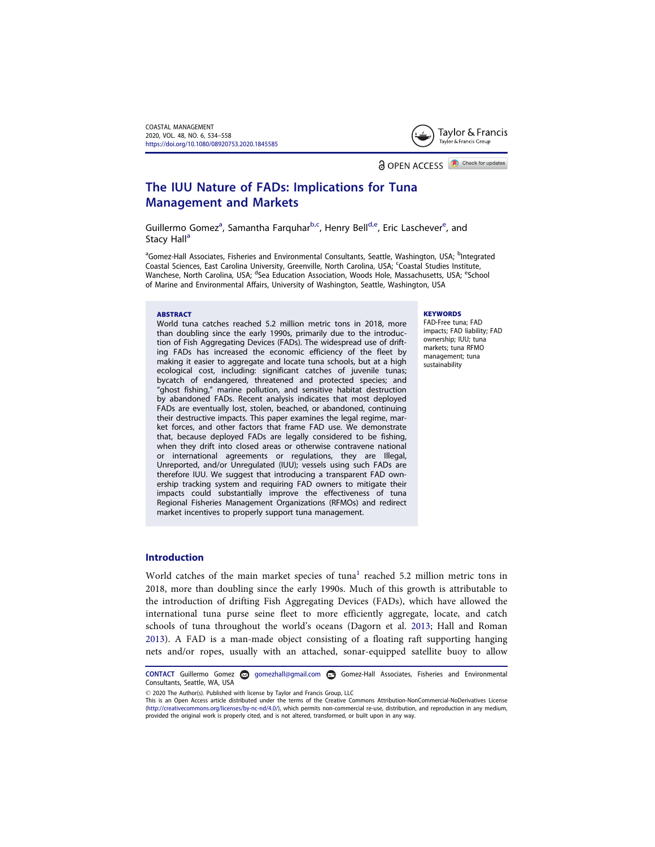COASTAL MANAGEMENT 2020, VOL. 48, NO. 6, 534–558 https://doi.org/10.1080/08920753.2020.1845585



# OPEN ACCESS **(A)** Check for updates

## The IUU Nature of FADs: Implications for Tuna Management and Markets

Guillermo Gomez<sup>a</sup>, Samantha Farquhar<sup>b,c</sup>, Henry Bell<sup>d,e</sup>, Eric Laschever<sup>e</sup>, and Stacy Hall<sup>a</sup>

<sup>a</sup>Gomez-Hall Associates, Fisheries and Environmental Consultants, Seattle, Washington, USA; <sup>b</sup>Integrated Coastal Sciences, East Carolina University, Greenville, North Carolina, USA; Coastal Studies Institute, Wanchese, North Carolina, USA; <sup>d</sup>Sea Education Association, Woods Hole, Massachusetts, USA; <sup>e</sup>School of Marine and Environmental Affairs, University of Washington, Seattle, Washington, USA

#### ABSTRACT

World tuna catches reached 5.2 million metric tons in 2018, more than doubling since the early 1990s, primarily due to the introduction of Fish Aggregating Devices (FADs). The widespread use of drifting FADs has increased the economic efficiency of the fleet by making it easier to aggregate and locate tuna schools, but at a high ecological cost, including: significant catches of juvenile tunas; bycatch of endangered, threatened and protected species; and "ghost fishing," marine pollution, and sensitive habitat destruction by abandoned FADs. Recent analysis indicates that most deployed FADs are eventually lost, stolen, beached, or abandoned, continuing their destructive impacts. This paper examines the legal regime, market forces, and other factors that frame FAD use. We demonstrate that, because deployed FADs are legally considered to be fishing, when they drift into closed areas or otherwise contravene national or international agreements or regulations, they are Illegal, Unreported, and/or Unregulated (IUU); vessels using such FADs are therefore IUU. We suggest that introducing a transparent FAD ownership tracking system and requiring FAD owners to mitigate their impacts could substantially improve the effectiveness of tuna Regional Fisheries Management Organizations (RFMOs) and redirect market incentives to properly support tuna management.

#### **KEYWORDS**

FAD-Free tuna; FAD impacts; FAD liability; FAD ownership; IUU; tuna markets; tuna RFMO management; tuna sustainability

#### Introduction

World catches of the main market species of tuna<sup>1</sup> reached 5.2 million metric tons in 2018, more than doubling since the early 1990s. Much of this growth is attributable to the introduction of drifting Fish Aggregating Devices (FADs), which have allowed the international tuna purse seine fleet to more efficiently aggregate, locate, and catch schools of tuna throughout the world's oceans (Dagorn et al. 2013; Hall and Roman 2013). A FAD is a man-made object consisting of a floating raft supporting hanging nets and/or ropes, usually with an attached, sonar-equipped satellite buoy to allow

 $\odot$  2020 The Author(s). Published with license by Taylor and Francis Group, LLC

CONTACT Guillermo Gomez a gomezhall@gmail.com comez-Hall Associates, Fisheries and Environmental Consultants, Seattle, WA, USA

This is an Open Access article distributed under the terms of the Creative Commons Attribution-NonCommercial-NoDerivatives License ([http://creativecommons.org/licenses/by-nc-nd/4.0/\)](http://creativecommons.org/licenses/by-nc-nd/4.0/), which permits non-commercial re-use, distribution, and reproduction in any medium, provided the original work is properly cited, and is not altered, transformed, or built upon in any way.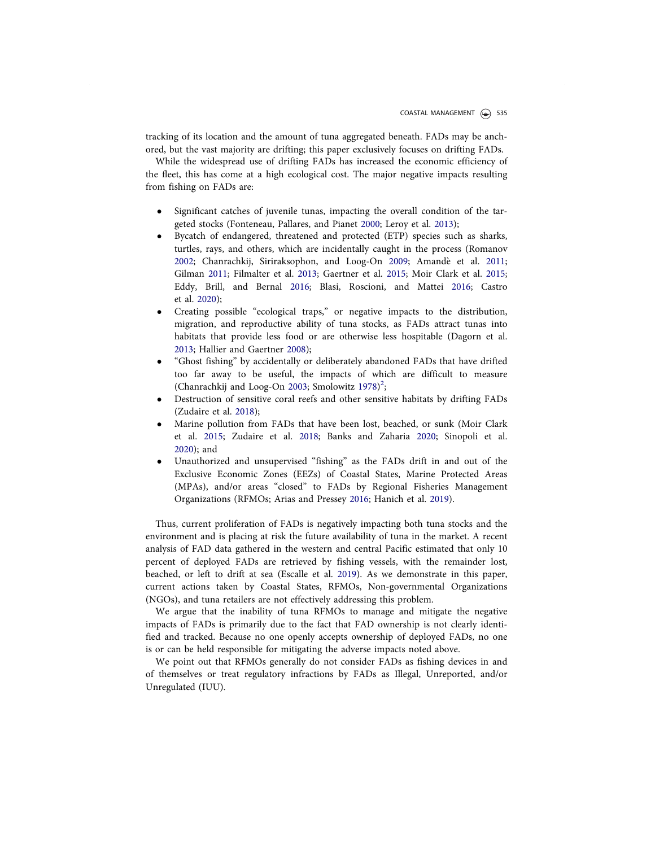tracking of its location and the amount of tuna aggregated beneath. FADs may be anchored, but the vast majority are drifting; this paper exclusively focuses on drifting FADs.

While the widespread use of drifting FADs has increased the economic efficiency of the fleet, this has come at a high ecological cost. The major negative impacts resulting from fishing on FADs are:

- Significant catches of juvenile tunas, impacting the overall condition of the targeted stocks (Fonteneau, Pallares, and Pianet 2000; Leroy et al. 2013);
- ! Bycatch of endangered, threatened and protected (ETP) species such as sharks, turtles, rays, and others, which are incidentally caught in the process (Romanov 2002; Chanrachkij, Siriraksophon, and Loog-On 2009; Amandè et al. 2011; Gilman 2011; Filmalter et al. 2013; Gaertner et al. 2015; Moir Clark et al. 2015; Eddy, Brill, and Bernal 2016; Blasi, Roscioni, and Mattei 2016; Castro et al. 2020);
- ! Creating possible "ecological traps," or negative impacts to the distribution, migration, and reproductive ability of tuna stocks, as FADs attract tunas into habitats that provide less food or are otherwise less hospitable (Dagorn et al. 2013; Hallier and Gaertner 2008);
- ! "Ghost fishing" by accidentally or deliberately abandoned FADs that have drifted too far away to be useful, the impacts of which are difficult to measure (Chanrachkij and Loog-On 2003; Smolowitz 1978) 2 ;
- ! Destruction of sensitive coral reefs and other sensitive habitats by drifting FADs (Zudaire et al. 2018);
- ! Marine pollution from FADs that have been lost, beached, or sunk (Moir Clark et al. 2015; Zudaire et al. 2018; Banks and Zaharia 2020; Sinopoli et al. 2020); and
- ! Unauthorized and unsupervised "fishing" as the FADs drift in and out of the Exclusive Economic Zones (EEZs) of Coastal States, Marine Protected Areas (MPAs), and/or areas "closed" to FADs by Regional Fisheries Management Organizations (RFMOs; Arias and Pressey 2016; Hanich et al. 2019).

Thus, current proliferation of FADs is negatively impacting both tuna stocks and the environment and is placing at risk the future availability of tuna in the market. A recent analysis of FAD data gathered in the western and central Pacific estimated that only 10 percent of deployed FADs are retrieved by fishing vessels, with the remainder lost, beached, or left to drift at sea (Escalle et al. 2019). As we demonstrate in this paper, current actions taken by Coastal States, RFMOs, Non-governmental Organizations (NGOs), and tuna retailers are not effectively addressing this problem.

We argue that the inability of tuna RFMOs to manage and mitigate the negative impacts of FADs is primarily due to the fact that FAD ownership is not clearly identified and tracked. Because no one openly accepts ownership of deployed FADs, no one is or can be held responsible for mitigating the adverse impacts noted above.

We point out that RFMOs generally do not consider FADs as fishing devices in and of themselves or treat regulatory infractions by FADs as Illegal, Unreported, and/or Unregulated (IUU).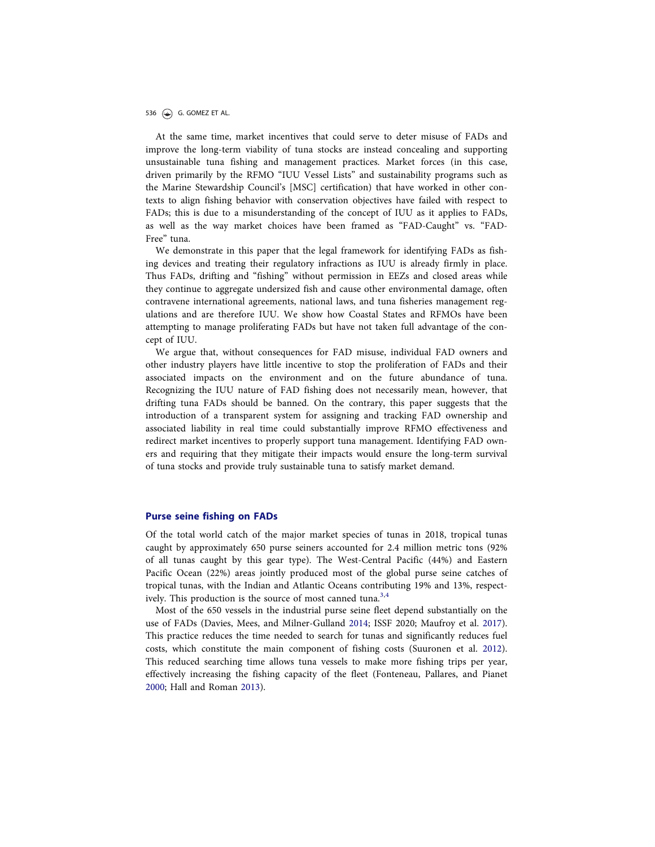## 536 (C) G. GOMEZ ET AL.

At the same time, market incentives that could serve to deter misuse of FADs and improve the long-term viability of tuna stocks are instead concealing and supporting unsustainable tuna fishing and management practices. Market forces (in this case, driven primarily by the RFMO "IUU Vessel Lists" and sustainability programs such as the Marine Stewardship Council's [MSC] certification) that have worked in other contexts to align fishing behavior with conservation objectives have failed with respect to FADs; this is due to a misunderstanding of the concept of IUU as it applies to FADs, as well as the way market choices have been framed as "FAD-Caught" vs. "FAD-Free" tuna.

We demonstrate in this paper that the legal framework for identifying FADs as fishing devices and treating their regulatory infractions as IUU is already firmly in place. Thus FADs, drifting and "fishing" without permission in EEZs and closed areas while they continue to aggregate undersized fish and cause other environmental damage, often contravene international agreements, national laws, and tuna fisheries management regulations and are therefore IUU. We show how Coastal States and RFMOs have been attempting to manage proliferating FADs but have not taken full advantage of the concept of IUU.

We argue that, without consequences for FAD misuse, individual FAD owners and other industry players have little incentive to stop the proliferation of FADs and their associated impacts on the environment and on the future abundance of tuna. Recognizing the IUU nature of FAD fishing does not necessarily mean, however, that drifting tuna FADs should be banned. On the contrary, this paper suggests that the introduction of a transparent system for assigning and tracking FAD ownership and associated liability in real time could substantially improve RFMO effectiveness and redirect market incentives to properly support tuna management. Identifying FAD owners and requiring that they mitigate their impacts would ensure the long-term survival of tuna stocks and provide truly sustainable tuna to satisfy market demand.

### Purse seine fishing on FADs

Of the total world catch of the major market species of tunas in 2018, tropical tunas caught by approximately 650 purse seiners accounted for 2.4 million metric tons (92% of all tunas caught by this gear type). The West-Central Pacific (44%) and Eastern Pacific Ocean (22%) areas jointly produced most of the global purse seine catches of tropical tunas, with the Indian and Atlantic Oceans contributing 19% and 13%, respectively. This production is the source of most canned tuna.<sup>3,4</sup>

Most of the 650 vessels in the industrial purse seine fleet depend substantially on the use of FADs (Davies, Mees, and Milner-Gulland 2014; ISSF 2020; Maufroy et al. 2017). This practice reduces the time needed to search for tunas and significantly reduces fuel costs, which constitute the main component of fishing costs (Suuronen et al. 2012). This reduced searching time allows tuna vessels to make more fishing trips per year, effectively increasing the fishing capacity of the fleet (Fonteneau, Pallares, and Pianet 2000; Hall and Roman 2013).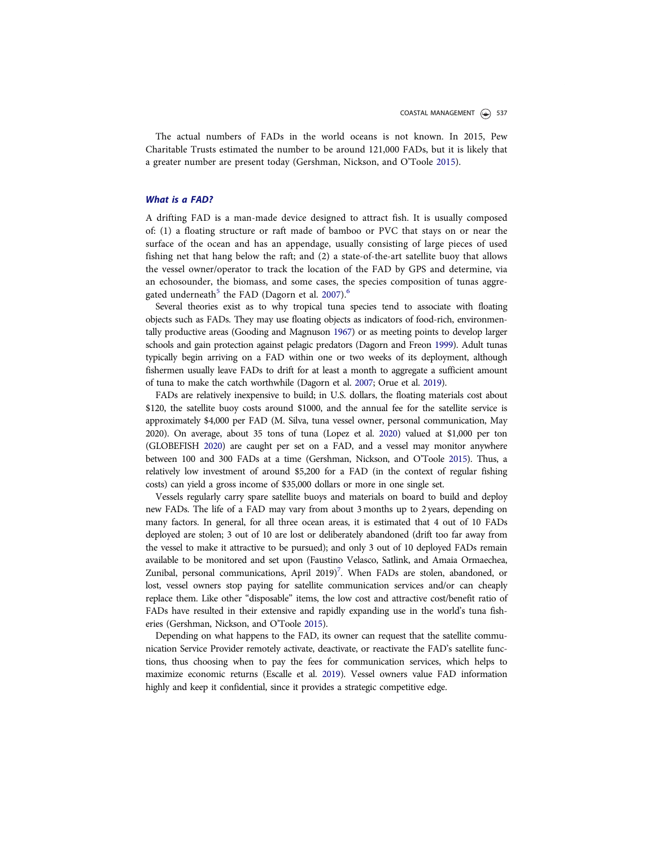The actual numbers of FADs in the world oceans is not known. In 2015, Pew Charitable Trusts estimated the number to be around 121,000 FADs, but it is likely that a greater number are present today (Gershman, Nickson, and O'Toole 2015).

## What is a FAD?

A drifting FAD is a man-made device designed to attract fish. It is usually composed of: (1) a floating structure or raft made of bamboo or PVC that stays on or near the surface of the ocean and has an appendage, usually consisting of large pieces of used fishing net that hang below the raft; and (2) a state-of-the-art satellite buoy that allows the vessel owner/operator to track the location of the FAD by GPS and determine, via an echosounder, the biomass, and some cases, the species composition of tunas aggregated underneath<sup>5</sup> the FAD (Dagorn et al. 2007).<sup>6</sup>

Several theories exist as to why tropical tuna species tend to associate with floating objects such as FADs. They may use floating objects as indicators of food-rich, environmentally productive areas (Gooding and Magnuson 1967) or as meeting points to develop larger schools and gain protection against pelagic predators (Dagorn and Freon 1999). Adult tunas typically begin arriving on a FAD within one or two weeks of its deployment, although fishermen usually leave FADs to drift for at least a month to aggregate a sufficient amount of tuna to make the catch worthwhile (Dagorn et al. 2007; Orue et al. 2019).

FADs are relatively inexpensive to build; in U.S. dollars, the floating materials cost about \$120, the satellite buoy costs around \$1000, and the annual fee for the satellite service is approximately \$4,000 per FAD (M. Silva, tuna vessel owner, personal communication, May 2020). On average, about 35 tons of tuna (Lopez et al. 2020) valued at \$1,000 per ton (GLOBEFISH 2020) are caught per set on a FAD, and a vessel may monitor anywhere between 100 and 300 FADs at a time (Gershman, Nickson, and O'Toole 2015). Thus, a relatively low investment of around \$5,200 for a FAD (in the context of regular fishing costs) can yield a gross income of \$35,000 dollars or more in one single set.

Vessels regularly carry spare satellite buoys and materials on board to build and deploy new FADs. The life of a FAD may vary from about 3 months up to 2 years, depending on many factors. In general, for all three ocean areas, it is estimated that 4 out of 10 FADs deployed are stolen; 3 out of 10 are lost or deliberately abandoned (drift too far away from the vessel to make it attractive to be pursued); and only 3 out of 10 deployed FADs remain available to be monitored and set upon (Faustino Velasco, Satlink, and Amaia Ormaechea, Zunibal, personal communications, April 2019)<sup>7</sup>. When FADs are stolen, abandoned, or lost, vessel owners stop paying for satellite communication services and/or can cheaply replace them. Like other "disposable" items, the low cost and attractive cost/benefit ratio of FADs have resulted in their extensive and rapidly expanding use in the world's tuna fisheries (Gershman, Nickson, and O'Toole 2015).

Depending on what happens to the FAD, its owner can request that the satellite communication Service Provider remotely activate, deactivate, or reactivate the FAD's satellite functions, thus choosing when to pay the fees for communication services, which helps to maximize economic returns (Escalle et al. 2019). Vessel owners value FAD information highly and keep it confidential, since it provides a strategic competitive edge.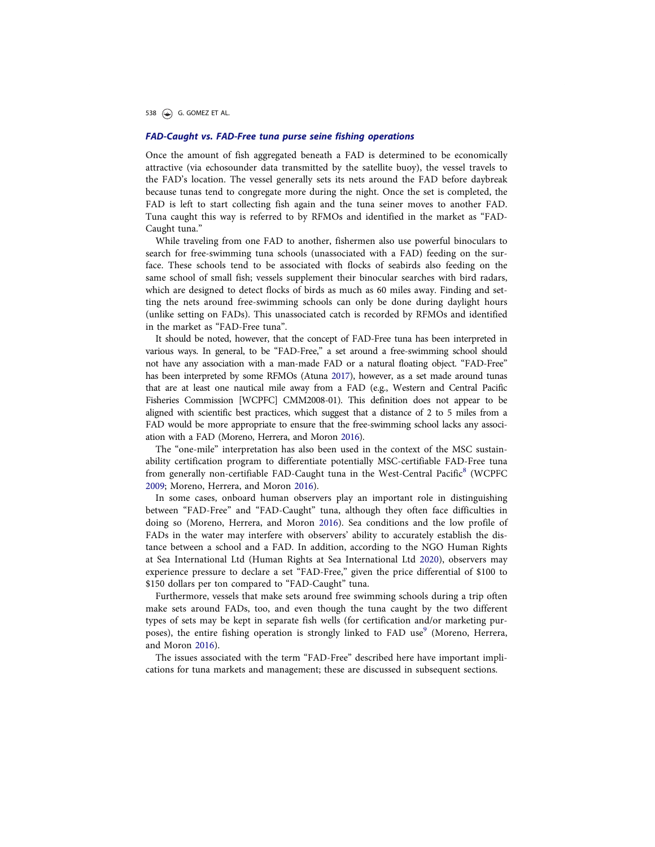538 (.) G. GOMEZ ET AL.

#### FAD-Caught vs. FAD-Free tuna purse seine fishing operations

Once the amount of fish aggregated beneath a FAD is determined to be economically attractive (via echosounder data transmitted by the satellite buoy), the vessel travels to the FAD's location. The vessel generally sets its nets around the FAD before daybreak because tunas tend to congregate more during the night. Once the set is completed, the FAD is left to start collecting fish again and the tuna seiner moves to another FAD. Tuna caught this way is referred to by RFMOs and identified in the market as "FAD-Caught tuna."

While traveling from one FAD to another, fishermen also use powerful binoculars to search for free-swimming tuna schools (unassociated with a FAD) feeding on the surface. These schools tend to be associated with flocks of seabirds also feeding on the same school of small fish; vessels supplement their binocular searches with bird radars, which are designed to detect flocks of birds as much as 60 miles away. Finding and setting the nets around free-swimming schools can only be done during daylight hours (unlike setting on FADs). This unassociated catch is recorded by RFMOs and identified in the market as "FAD-Free tuna".

It should be noted, however, that the concept of FAD-Free tuna has been interpreted in various ways. In general, to be "FAD-Free," a set around a free-swimming school should not have any association with a man-made FAD or a natural floating object. "FAD-Free" has been interpreted by some RFMOs (Atuna 2017), however, as a set made around tunas that are at least one nautical mile away from a FAD (e.g., Western and Central Pacific Fisheries Commission [WCPFC] CMM2008-01). This definition does not appear to be aligned with scientific best practices, which suggest that a distance of 2 to 5 miles from a FAD would be more appropriate to ensure that the free-swimming school lacks any association with a FAD (Moreno, Herrera, and Moron 2016).

The "one-mile" interpretation has also been used in the context of the MSC sustainability certification program to differentiate potentially MSC-certifiable FAD-Free tuna from generally non-certifiable FAD-Caught tuna in the West-Central Pacific<sup>8</sup> (WCPFC 2009; Moreno, Herrera, and Moron 2016).

In some cases, onboard human observers play an important role in distinguishing between "FAD-Free" and "FAD-Caught" tuna, although they often face difficulties in doing so (Moreno, Herrera, and Moron 2016). Sea conditions and the low profile of FADs in the water may interfere with observers' ability to accurately establish the distance between a school and a FAD. In addition, according to the NGO Human Rights at Sea International Ltd (Human Rights at Sea International Ltd 2020), observers may experience pressure to declare a set "FAD-Free," given the price differential of \$100 to \$150 dollars per ton compared to "FAD-Caught" tuna.

Furthermore, vessels that make sets around free swimming schools during a trip often make sets around FADs, too, and even though the tuna caught by the two different types of sets may be kept in separate fish wells (for certification and/or marketing purposes), the entire fishing operation is strongly linked to FAD use<sup>9</sup> (Moreno, Herrera, and Moron 2016).

The issues associated with the term "FAD-Free" described here have important implications for tuna markets and management; these are discussed in subsequent sections.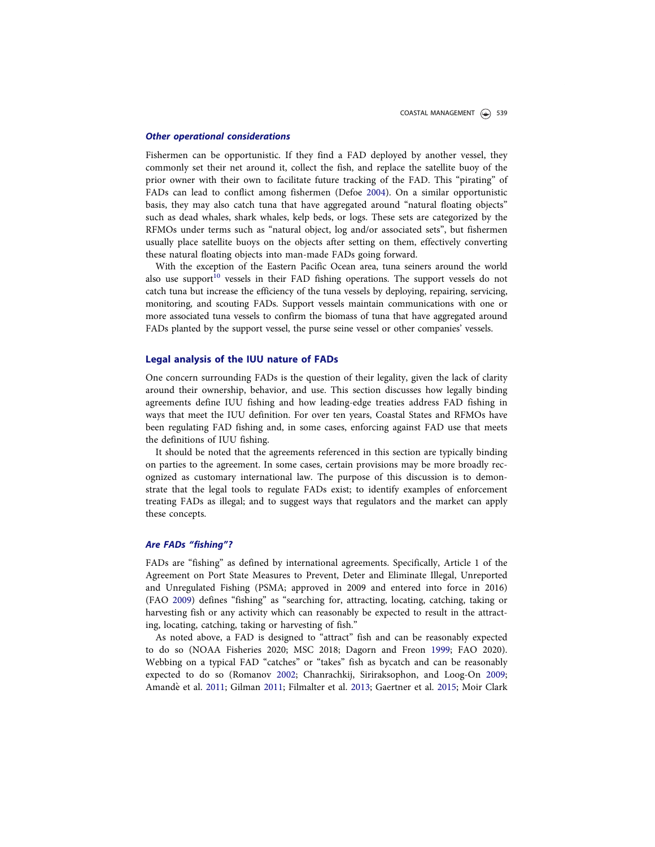#### Other operational considerations

Fishermen can be opportunistic. If they find a FAD deployed by another vessel, they commonly set their net around it, collect the fish, and replace the satellite buoy of the prior owner with their own to facilitate future tracking of the FAD. This "pirating" of FADs can lead to conflict among fishermen (Defoe 2004). On a similar opportunistic basis, they may also catch tuna that have aggregated around "natural floating objects" such as dead whales, shark whales, kelp beds, or logs. These sets are categorized by the RFMOs under terms such as "natural object, log and/or associated sets", but fishermen usually place satellite buoys on the objects after setting on them, effectively converting these natural floating objects into man-made FADs going forward.

With the exception of the Eastern Pacific Ocean area, tuna seiners around the world also use support $10$  vessels in their FAD fishing operations. The support vessels do not catch tuna but increase the efficiency of the tuna vessels by deploying, repairing, servicing, monitoring, and scouting FADs. Support vessels maintain communications with one or more associated tuna vessels to confirm the biomass of tuna that have aggregated around FADs planted by the support vessel, the purse seine vessel or other companies' vessels.

## Legal analysis of the IUU nature of FADs

One concern surrounding FADs is the question of their legality, given the lack of clarity around their ownership, behavior, and use. This section discusses how legally binding agreements define IUU fishing and how leading-edge treaties address FAD fishing in ways that meet the IUU definition. For over ten years, Coastal States and RFMOs have been regulating FAD fishing and, in some cases, enforcing against FAD use that meets the definitions of IUU fishing.

It should be noted that the agreements referenced in this section are typically binding on parties to the agreement. In some cases, certain provisions may be more broadly recognized as customary international law. The purpose of this discussion is to demonstrate that the legal tools to regulate FADs exist; to identify examples of enforcement treating FADs as illegal; and to suggest ways that regulators and the market can apply these concepts.

#### Are FADs "fishing"?

FADs are "fishing" as defined by international agreements. Specifically, Article 1 of the Agreement on Port State Measures to Prevent, Deter and Eliminate Illegal, Unreported and Unregulated Fishing (PSMA; approved in 2009 and entered into force in 2016) (FAO 2009) defines "fishing" as "searching for, attracting, locating, catching, taking or harvesting fish or any activity which can reasonably be expected to result in the attracting, locating, catching, taking or harvesting of fish."

As noted above, a FAD is designed to "attract" fish and can be reasonably expected to do so (NOAA Fisheries 2020; MSC 2018; Dagorn and Freon 1999; FAO 2020). Webbing on a typical FAD "catches" or "takes" fish as bycatch and can be reasonably expected to do so (Romanov 2002; Chanrachkij, Siriraksophon, and Loog-On 2009; Amand!e et al. 2011; Gilman 2011; Filmalter et al. 2013; Gaertner et al. 2015; Moir Clark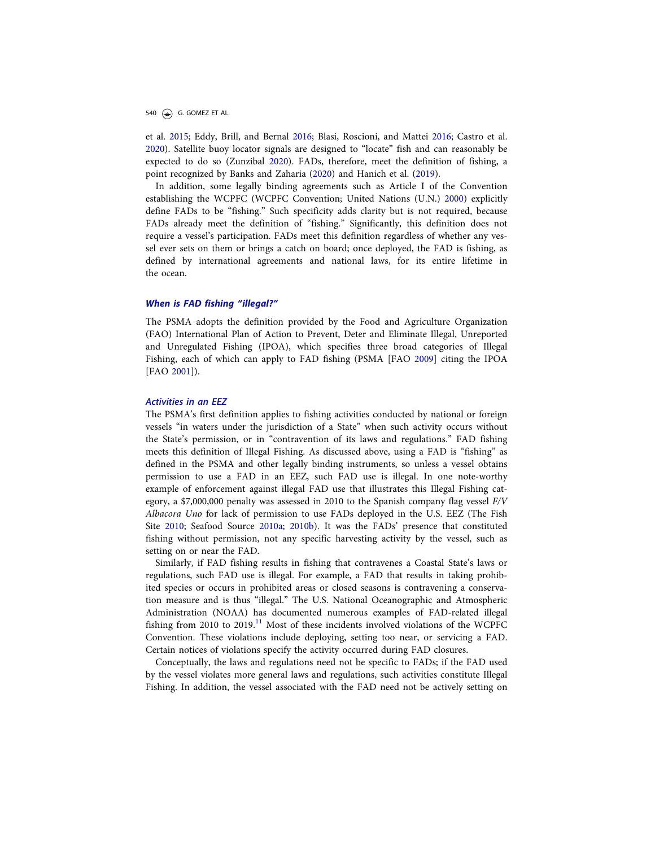et al. 2015; Eddy, Brill, and Bernal 2016; Blasi, Roscioni, and Mattei 2016; Castro et al. 2020). Satellite buoy locator signals are designed to "locate" fish and can reasonably be expected to do so (Zunzibal 2020). FADs, therefore, meet the definition of fishing, a point recognized by Banks and Zaharia (2020) and Hanich et al. (2019).

In addition, some legally binding agreements such as Article I of the Convention establishing the WCPFC (WCPFC Convention; United Nations (U.N.) 2000) explicitly define FADs to be "fishing." Such specificity adds clarity but is not required, because FADs already meet the definition of "fishing." Significantly, this definition does not require a vessel's participation. FADs meet this definition regardless of whether any vessel ever sets on them or brings a catch on board; once deployed, the FAD is fishing, as defined by international agreements and national laws, for its entire lifetime in the ocean.

#### When is FAD fishing "illegal?"

The PSMA adopts the definition provided by the Food and Agriculture Organization (FAO) International Plan of Action to Prevent, Deter and Eliminate Illegal, Unreported and Unregulated Fishing (IPOA), which specifies three broad categories of Illegal Fishing, each of which can apply to FAD fishing (PSMA [FAO 2009] citing the IPOA [FAO 2001]).

### Activities in an EEZ

The PSMA's first definition applies to fishing activities conducted by national or foreign vessels "in waters under the jurisdiction of a State" when such activity occurs without the State's permission, or in "contravention of its laws and regulations." FAD fishing meets this definition of Illegal Fishing. As discussed above, using a FAD is "fishing" as defined in the PSMA and other legally binding instruments, so unless a vessel obtains permission to use a FAD in an EEZ, such FAD use is illegal. In one note-worthy example of enforcement against illegal FAD use that illustrates this Illegal Fishing category, a \$7,000,000 penalty was assessed in 2010 to the Spanish company flag vessel  $F/V$ Albacora Uno for lack of permission to use FADs deployed in the U.S. EEZ (The Fish Site 2010; Seafood Source 2010a; 2010b). It was the FADs' presence that constituted fishing without permission, not any specific harvesting activity by the vessel, such as setting on or near the FAD.

Similarly, if FAD fishing results in fishing that contravenes a Coastal State's laws or regulations, such FAD use is illegal. For example, a FAD that results in taking prohibited species or occurs in prohibited areas or closed seasons is contravening a conservation measure and is thus "illegal." The U.S. National Oceanographic and Atmospheric Administration (NOAA) has documented numerous examples of FAD-related illegal fishing from 2010 to  $2019$ .<sup>11</sup> Most of these incidents involved violations of the WCPFC Convention. These violations include deploying, setting too near, or servicing a FAD. Certain notices of violations specify the activity occurred during FAD closures.

Conceptually, the laws and regulations need not be specific to FADs; if the FAD used by the vessel violates more general laws and regulations, such activities constitute Illegal Fishing. In addition, the vessel associated with the FAD need not be actively setting on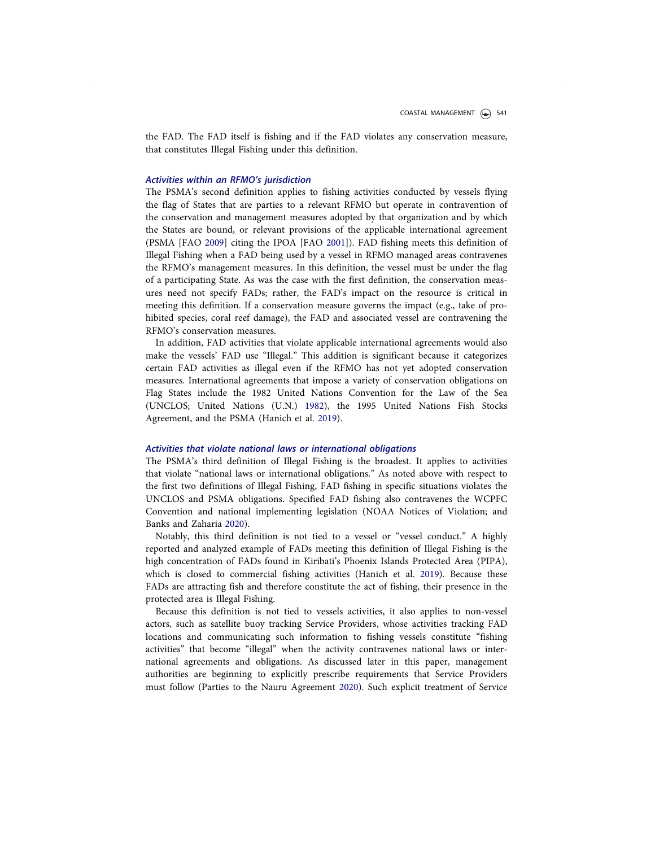the FAD. The FAD itself is fishing and if the FAD violates any conservation measure, that constitutes Illegal Fishing under this definition.

#### Activities within an RFMO's jurisdiction

The PSMA's second definition applies to fishing activities conducted by vessels flying the flag of States that are parties to a relevant RFMO but operate in contravention of the conservation and management measures adopted by that organization and by which the States are bound, or relevant provisions of the applicable international agreement (PSMA [FAO 2009] citing the IPOA [FAO 2001]). FAD fishing meets this definition of Illegal Fishing when a FAD being used by a vessel in RFMO managed areas contravenes the RFMO's management measures. In this definition, the vessel must be under the flag of a participating State. As was the case with the first definition, the conservation measures need not specify FADs; rather, the FAD's impact on the resource is critical in meeting this definition. If a conservation measure governs the impact (e.g., take of prohibited species, coral reef damage), the FAD and associated vessel are contravening the RFMO's conservation measures.

In addition, FAD activities that violate applicable international agreements would also make the vessels' FAD use "Illegal." This addition is significant because it categorizes certain FAD activities as illegal even if the RFMO has not yet adopted conservation measures. International agreements that impose a variety of conservation obligations on Flag States include the 1982 United Nations Convention for the Law of the Sea (UNCLOS; United Nations (U.N.) 1982), the 1995 United Nations Fish Stocks Agreement, and the PSMA (Hanich et al. 2019).

#### Activities that violate national laws or international obligations

The PSMA's third definition of Illegal Fishing is the broadest. It applies to activities that violate "national laws or international obligations." As noted above with respect to the first two definitions of Illegal Fishing, FAD fishing in specific situations violates the UNCLOS and PSMA obligations. Specified FAD fishing also contravenes the WCPFC Convention and national implementing legislation (NOAA Notices of Violation; and Banks and Zaharia 2020).

Notably, this third definition is not tied to a vessel or "vessel conduct." A highly reported and analyzed example of FADs meeting this definition of Illegal Fishing is the high concentration of FADs found in Kiribati's Phoenix Islands Protected Area (PIPA), which is closed to commercial fishing activities (Hanich et al. 2019). Because these FADs are attracting fish and therefore constitute the act of fishing, their presence in the protected area is Illegal Fishing.

Because this definition is not tied to vessels activities, it also applies to non-vessel actors, such as satellite buoy tracking Service Providers, whose activities tracking FAD locations and communicating such information to fishing vessels constitute "fishing activities" that become "illegal" when the activity contravenes national laws or international agreements and obligations. As discussed later in this paper, management authorities are beginning to explicitly prescribe requirements that Service Providers must follow (Parties to the Nauru Agreement 2020). Such explicit treatment of Service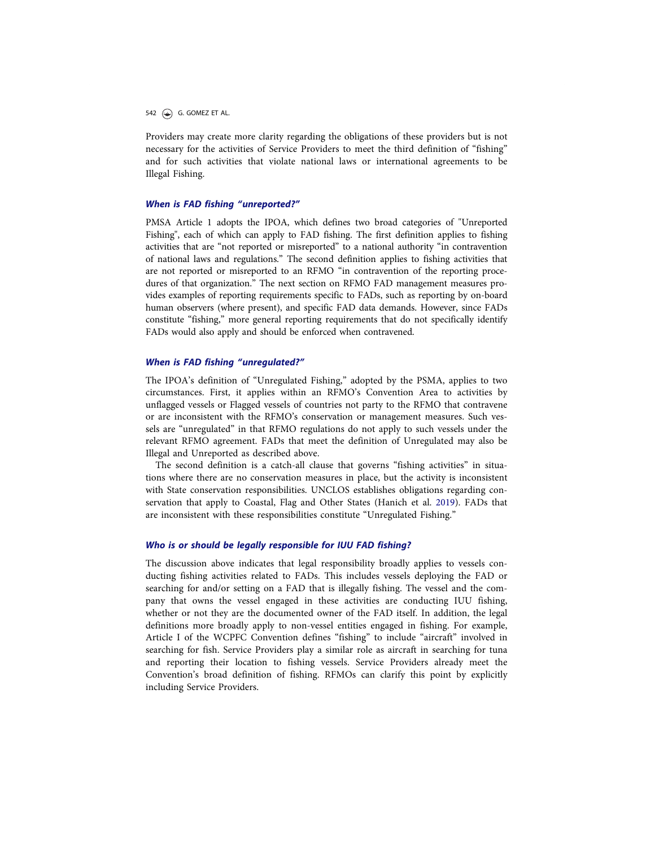Providers may create more clarity regarding the obligations of these providers but is not necessary for the activities of Service Providers to meet the third definition of "fishing" and for such activities that violate national laws or international agreements to be Illegal Fishing.

### When is FAD fishing "unreported?"

PMSA Article 1 adopts the IPOA, which defines two broad categories of "Unreported Fishing", each of which can apply to FAD fishing. The first definition applies to fishing activities that are "not reported or misreported" to a national authority "in contravention of national laws and regulations." The second definition applies to fishing activities that are not reported or misreported to an RFMO "in contravention of the reporting procedures of that organization." The next section on RFMO FAD management measures provides examples of reporting requirements specific to FADs, such as reporting by on-board human observers (where present), and specific FAD data demands. However, since FADs constitute "fishing," more general reporting requirements that do not specifically identify FADs would also apply and should be enforced when contravened.

## When is FAD fishing "unregulated?"

The IPOA's definition of "Unregulated Fishing," adopted by the PSMA, applies to two circumstances. First, it applies within an RFMO's Convention Area to activities by unflagged vessels or Flagged vessels of countries not party to the RFMO that contravene or are inconsistent with the RFMO's conservation or management measures. Such vessels are "unregulated" in that RFMO regulations do not apply to such vessels under the relevant RFMO agreement. FADs that meet the definition of Unregulated may also be Illegal and Unreported as described above.

The second definition is a catch-all clause that governs "fishing activities" in situations where there are no conservation measures in place, but the activity is inconsistent with State conservation responsibilities. UNCLOS establishes obligations regarding conservation that apply to Coastal, Flag and Other States (Hanich et al. 2019). FADs that are inconsistent with these responsibilities constitute "Unregulated Fishing."

#### Who is or should be legally responsible for IUU FAD fishing?

The discussion above indicates that legal responsibility broadly applies to vessels conducting fishing activities related to FADs. This includes vessels deploying the FAD or searching for and/or setting on a FAD that is illegally fishing. The vessel and the company that owns the vessel engaged in these activities are conducting IUU fishing, whether or not they are the documented owner of the FAD itself. In addition, the legal definitions more broadly apply to non-vessel entities engaged in fishing. For example, Article I of the WCPFC Convention defines "fishing" to include "aircraft" involved in searching for fish. Service Providers play a similar role as aircraft in searching for tuna and reporting their location to fishing vessels. Service Providers already meet the Convention's broad definition of fishing. RFMOs can clarify this point by explicitly including Service Providers.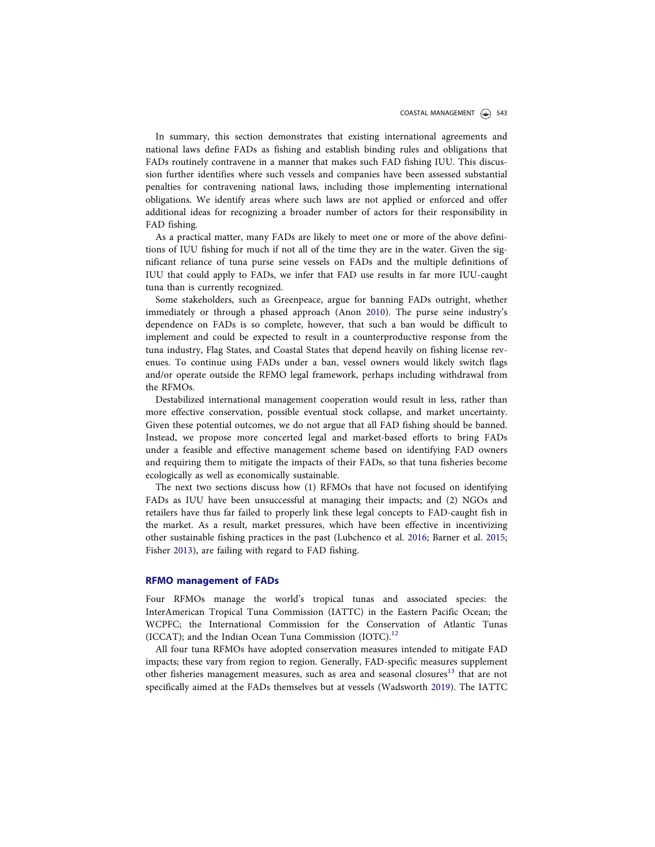In summary, this section demonstrates that existing international agreements and national laws define FADs as fishing and establish binding rules and obligations that FADs routinely contravene in a manner that makes such FAD fishing IUU. This discussion further identifies where such vessels and companies have been assessed substantial penalties for contravening national laws, including those implementing international obligations. We identify areas where such laws are not applied or enforced and offer additional ideas for recognizing a broader number of actors for their responsibility in FAD fishing.

As a practical matter, many FADs are likely to meet one or more of the above definitions of IUU fishing for much if not all of the time they are in the water. Given the significant reliance of tuna purse seine vessels on FADs and the multiple definitions of IUU that could apply to FADs, we infer that FAD use results in far more IUU-caught tuna than is currently recognized.

Some stakeholders, such as Greenpeace, argue for banning FADs outright, whether immediately or through a phased approach (Anon 2010). The purse seine industry's dependence on FADs is so complete, however, that such a ban would be difficult to implement and could be expected to result in a counterproductive response from the tuna industry, Flag States, and Coastal States that depend heavily on fishing license revenues. To continue using FADs under a ban, vessel owners would likely switch flags and/or operate outside the RFMO legal framework, perhaps including withdrawal from the RFMOs.

Destabilized international management cooperation would result in less, rather than more effective conservation, possible eventual stock collapse, and market uncertainty. Given these potential outcomes, we do not argue that all FAD fishing should be banned. Instead, we propose more concerted legal and market-based efforts to bring FADs under a feasible and effective management scheme based on identifying FAD owners and requiring them to mitigate the impacts of their FADs, so that tuna fisheries become ecologically as well as economically sustainable.

The next two sections discuss how (1) RFMOs that have not focused on identifying FADs as IUU have been unsuccessful at managing their impacts; and (2) NGOs and retailers have thus far failed to properly link these legal concepts to FAD-caught fish in the market. As a result, market pressures, which have been effective in incentivizing other sustainable fishing practices in the past (Lubchenco et al. 2016; Barner et al. 2015; Fisher 2013), are failing with regard to FAD fishing.

#### RFMO management of FADs

Four RFMOs manage the world's tropical tunas and associated species: the InterAmerican Tropical Tuna Commission (IATTC) in the Eastern Pacific Ocean; the WCPFC; the International Commission for the Conservation of Atlantic Tunas (ICCAT); and the Indian Ocean Tuna Commission (IOTC).<sup>12</sup>

All four tuna RFMOs have adopted conservation measures intended to mitigate FAD impacts; these vary from region to region. Generally, FAD-specific measures supplement other fisheries management measures, such as area and seasonal closures<sup>13</sup> that are not specifically aimed at the FADs themselves but at vessels (Wadsworth 2019). The IATTC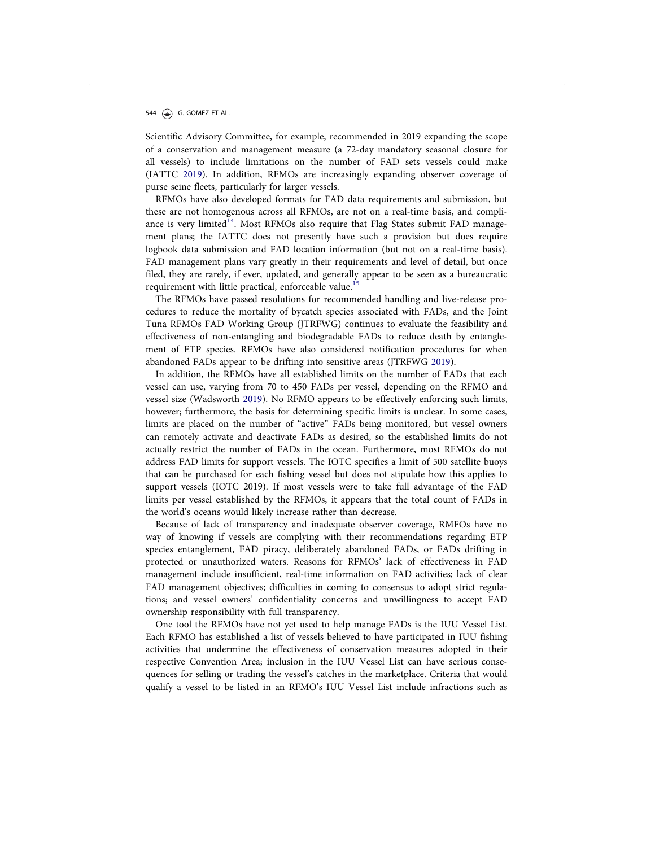#### 544 (C) G. GOMEZ ET AL.

Scientific Advisory Committee, for example, recommended in 2019 expanding the scope of a conservation and management measure (a 72-day mandatory seasonal closure for all vessels) to include limitations on the number of FAD sets vessels could make (IATTC 2019). In addition, RFMOs are increasingly expanding observer coverage of purse seine fleets, particularly for larger vessels.

RFMOs have also developed formats for FAD data requirements and submission, but these are not homogenous across all RFMOs, are not on a real-time basis, and compliance is very limited<sup>14</sup>. Most RFMOs also require that Flag States submit FAD management plans; the IATTC does not presently have such a provision but does require logbook data submission and FAD location information (but not on a real-time basis). FAD management plans vary greatly in their requirements and level of detail, but once filed, they are rarely, if ever, updated, and generally appear to be seen as a bureaucratic requirement with little practical, enforceable value.<sup>15</sup>

The RFMOs have passed resolutions for recommended handling and live-release procedures to reduce the mortality of bycatch species associated with FADs, and the Joint Tuna RFMOs FAD Working Group (JTRFWG) continues to evaluate the feasibility and effectiveness of non-entangling and biodegradable FADs to reduce death by entanglement of ETP species. RFMOs have also considered notification procedures for when abandoned FADs appear to be drifting into sensitive areas (JTRFWG 2019).

In addition, the RFMOs have all established limits on the number of FADs that each vessel can use, varying from 70 to 450 FADs per vessel, depending on the RFMO and vessel size (Wadsworth 2019). No RFMO appears to be effectively enforcing such limits, however; furthermore, the basis for determining specific limits is unclear. In some cases, limits are placed on the number of "active" FADs being monitored, but vessel owners can remotely activate and deactivate FADs as desired, so the established limits do not actually restrict the number of FADs in the ocean. Furthermore, most RFMOs do not address FAD limits for support vessels. The IOTC specifies a limit of 500 satellite buoys that can be purchased for each fishing vessel but does not stipulate how this applies to support vessels (IOTC 2019). If most vessels were to take full advantage of the FAD limits per vessel established by the RFMOs, it appears that the total count of FADs in the world's oceans would likely increase rather than decrease.

Because of lack of transparency and inadequate observer coverage, RMFOs have no way of knowing if vessels are complying with their recommendations regarding ETP species entanglement, FAD piracy, deliberately abandoned FADs, or FADs drifting in protected or unauthorized waters. Reasons for RFMOs' lack of effectiveness in FAD management include insufficient, real-time information on FAD activities; lack of clear FAD management objectives; difficulties in coming to consensus to adopt strict regulations; and vessel owners' confidentiality concerns and unwillingness to accept FAD ownership responsibility with full transparency.

One tool the RFMOs have not yet used to help manage FADs is the IUU Vessel List. Each RFMO has established a list of vessels believed to have participated in IUU fishing activities that undermine the effectiveness of conservation measures adopted in their respective Convention Area; inclusion in the IUU Vessel List can have serious consequences for selling or trading the vessel's catches in the marketplace. Criteria that would qualify a vessel to be listed in an RFMO's IUU Vessel List include infractions such as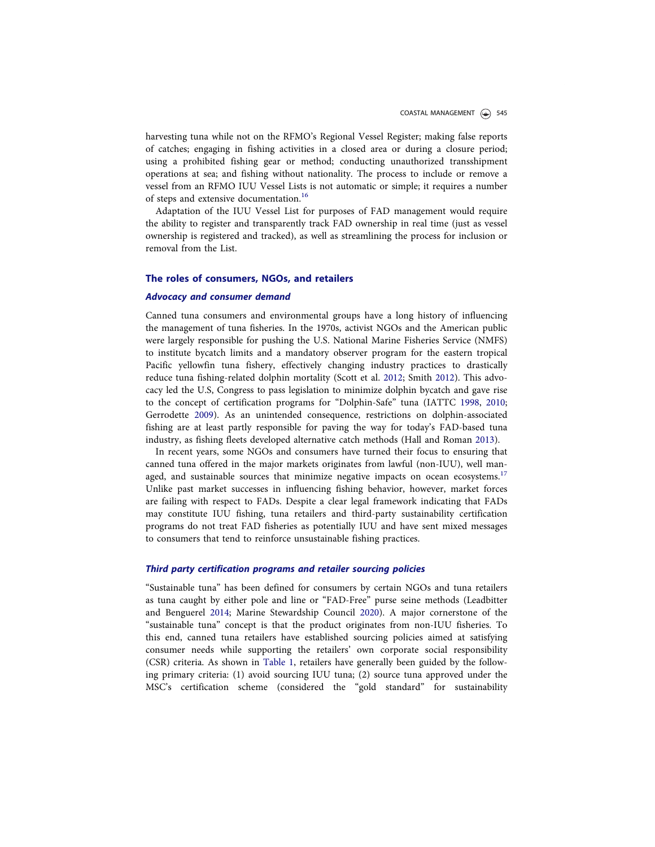harvesting tuna while not on the RFMO's Regional Vessel Register; making false reports of catches; engaging in fishing activities in a closed area or during a closure period; using a prohibited fishing gear or method; conducting unauthorized transshipment operations at sea; and fishing without nationality. The process to include or remove a vessel from an RFMO IUU Vessel Lists is not automatic or simple; it requires a number of steps and extensive documentation.<sup>16</sup>

Adaptation of the IUU Vessel List for purposes of FAD management would require the ability to register and transparently track FAD ownership in real time (just as vessel ownership is registered and tracked), as well as streamlining the process for inclusion or removal from the List.

#### The roles of consumers, NGOs, and retailers

#### Advocacy and consumer demand

Canned tuna consumers and environmental groups have a long history of influencing the management of tuna fisheries. In the 1970s, activist NGOs and the American public were largely responsible for pushing the U.S. National Marine Fisheries Service (NMFS) to institute bycatch limits and a mandatory observer program for the eastern tropical Pacific yellowfin tuna fishery, effectively changing industry practices to drastically reduce tuna fishing-related dolphin mortality (Scott et al. 2012; Smith 2012). This advocacy led the U.S, Congress to pass legislation to minimize dolphin bycatch and gave rise to the concept of certification programs for "Dolphin-Safe" tuna (IATTC 1998, 2010; Gerrodette 2009). As an unintended consequence, restrictions on dolphin-associated fishing are at least partly responsible for paving the way for today's FAD-based tuna industry, as fishing fleets developed alternative catch methods (Hall and Roman 2013).

In recent years, some NGOs and consumers have turned their focus to ensuring that canned tuna offered in the major markets originates from lawful (non-IUU), well managed, and sustainable sources that minimize negative impacts on ocean ecosystems.<sup>17</sup> Unlike past market successes in influencing fishing behavior, however, market forces are failing with respect to FADs. Despite a clear legal framework indicating that FADs may constitute IUU fishing, tuna retailers and third-party sustainability certification programs do not treat FAD fisheries as potentially IUU and have sent mixed messages to consumers that tend to reinforce unsustainable fishing practices.

### Third party certification programs and retailer sourcing policies

"Sustainable tuna" has been defined for consumers by certain NGOs and tuna retailers as tuna caught by either pole and line or "FAD-Free" purse seine methods (Leadbitter and Benguerel 2014; Marine Stewardship Council 2020). A major cornerstone of the "sustainable tuna" concept is that the product originates from non-IUU fisheries. To this end, canned tuna retailers have established sourcing policies aimed at satisfying consumer needs while supporting the retailers' own corporate social responsibility (CSR) criteria. As shown in Table 1, retailers have generally been guided by the following primary criteria: (1) avoid sourcing IUU tuna; (2) source tuna approved under the MSC's certification scheme (considered the "gold standard" for sustainability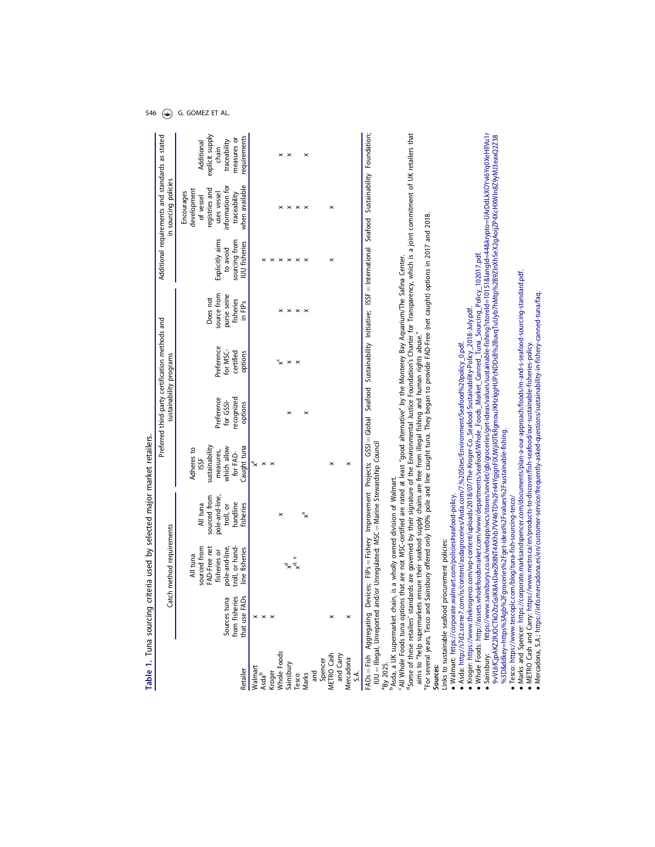|                   |                                                 | Catch method requirements                                                                                       |                                                                                                                                                                   |                                                                                             |                                                             | Preferred third-party certification methods and<br>sustainability programs |                                                               |                                                                      | in sourcing policies                                                                                                        | Additional requirements and standards as stated                                       |
|-------------------|-------------------------------------------------|-----------------------------------------------------------------------------------------------------------------|-------------------------------------------------------------------------------------------------------------------------------------------------------------------|---------------------------------------------------------------------------------------------|-------------------------------------------------------------|----------------------------------------------------------------------------|---------------------------------------------------------------|----------------------------------------------------------------------|-----------------------------------------------------------------------------------------------------------------------------|---------------------------------------------------------------------------------------|
| Retailer          | that use FADs<br>from fisheries<br>Sources tuna | troll, or hand-<br>sourced from<br>FAD-Free net<br>oole-and-line,<br>line fisheries<br>fisheries or<br>All tuna | pole-and-line,<br>sourced from<br>handline<br>All tuna<br>fisheries<br>troll, or                                                                                  | Caught tuna<br>sustainability<br>which allow<br>Adheres to<br>measures,<br>for FAD-<br>ISSF | <sup>2</sup> reference<br>ecognized<br>for GSSI-<br>options | Preference<br>for MSC-<br>certified<br>options                             | source from<br>urse seine<br>Does not<br>fisheries<br>in FIPs | Explicitly aims<br>sourcing from<br><b>IUU</b> fisheries<br>to avoid | when available<br>nformation for<br>development<br>registries and<br>Encourages<br>uses vessel<br>traceability<br>of vessel | explicit supply<br>requirements<br>measures or<br>Additional<br>traceability<br>chain |
| Walmart           | ×                                               |                                                                                                                 |                                                                                                                                                                   |                                                                                             |                                                             |                                                                            |                                                               |                                                                      |                                                                                                                             |                                                                                       |
| Asda <sup>b</sup> | $\times$                                        |                                                                                                                 |                                                                                                                                                                   |                                                                                             |                                                             |                                                                            |                                                               |                                                                      |                                                                                                                             |                                                                                       |
| Kroger            |                                                 |                                                                                                                 |                                                                                                                                                                   |                                                                                             |                                                             |                                                                            |                                                               |                                                                      |                                                                                                                             |                                                                                       |
| Whole Foods       |                                                 |                                                                                                                 |                                                                                                                                                                   |                                                                                             |                                                             |                                                                            |                                                               |                                                                      |                                                                                                                             |                                                                                       |
| Sainsbury         |                                                 |                                                                                                                 |                                                                                                                                                                   |                                                                                             |                                                             | ×                                                                          |                                                               |                                                                      |                                                                                                                             | $\times$                                                                              |
| Tesco             |                                                 | e<br>X                                                                                                          |                                                                                                                                                                   |                                                                                             |                                                             |                                                                            |                                                               |                                                                      |                                                                                                                             |                                                                                       |
| Marks             |                                                 |                                                                                                                 | $\infty$                                                                                                                                                          |                                                                                             |                                                             |                                                                            |                                                               |                                                                      |                                                                                                                             | $\times$                                                                              |
| and               |                                                 |                                                                                                                 |                                                                                                                                                                   |                                                                                             |                                                             |                                                                            |                                                               |                                                                      |                                                                                                                             |                                                                                       |
| Spencer           |                                                 |                                                                                                                 |                                                                                                                                                                   |                                                                                             |                                                             |                                                                            |                                                               |                                                                      |                                                                                                                             |                                                                                       |
| METRO Cash        | $\times$                                        |                                                                                                                 |                                                                                                                                                                   |                                                                                             |                                                             |                                                                            |                                                               | ×                                                                    |                                                                                                                             |                                                                                       |
| and Carry         |                                                 |                                                                                                                 |                                                                                                                                                                   |                                                                                             |                                                             |                                                                            |                                                               |                                                                      |                                                                                                                             |                                                                                       |
| Mercadona         | $\times$                                        |                                                                                                                 |                                                                                                                                                                   |                                                                                             |                                                             |                                                                            |                                                               |                                                                      |                                                                                                                             |                                                                                       |
| S.A.              |                                                 |                                                                                                                 |                                                                                                                                                                   |                                                                                             |                                                             |                                                                            |                                                               |                                                                      |                                                                                                                             |                                                                                       |
|                   |                                                 |                                                                                                                 | EADs Eich Aggregating Devices: FIPs Eicherv Improvement Projects: GSSI Eighal Seafood Sustailiva Initiative: ISSE International Seafood Sustainability Foundation |                                                                                             |                                                             |                                                                            |                                                               |                                                                      |                                                                                                                             |                                                                                       |

Table 1. Tuna sourcing criteria used by selected major market retailers. Table 1. Tuna sourcing criteria used by selected major market retailers.  $|\ddot{\varepsilon}|$  International Seafood Sustainability Foundation; Global Seafood Sustainability Initiative; ISSF Marine Stewardship Council Fishery Improvement Projects; GSSI Illegal, Unreported and/or Unregulated; MSC Fish Aggregating Devices; FIPs ∣  $FADs =$ 

bAsda, a UK supermarket chain, is a wholly owned division of Walmart.

'All Whole Foods tuna options that are not MSC-certified are rated at least "good alternative" by the Monterey Bay Aquarium/The Safina Center.<br>"Some of these retailers' standards are governed by their signature of the Envi

<sup>a</sup>by 2025.<br><sup>b</sup>ASda, a UK supermarket chain, is a wholly owned division of Walmart.<br>'All Whole Foods tuna options that are not MSC-certified are rated at least "good alternative" by the Monterey Bay Aquarium/The Safina Cen aims to "help supermarkets ensure their seafood supply chains are free from illegal fishing and human rights abuse."<br>"For several years, Tesco and Sainsbury offered only 100% pole and line caught tuna. They began to provid

Sources:

 Walmart: <https://corporate.walmart.com/policies#seafood-policy>. Links to sustainable seafood procurement policies: Links to sustainable seafood procurement policies:

. . Asda: [http://s7d2.scene7.com/is/content/asdagroceries/Asda.com/7.%20Sites/Environment/Seafood%20policy\\_0.pdf](http://s7d2.scene7.com/is/content/asdagroceries/Asda.com/7.%20Sites/Environment/Seafood%20policy_0.pdf).

■ Kroger: https://www.thekrogerco.com/wp-content/uploads/2018/07/The-Kroger-Co\_Seafood-Sustainability-Policy\_2018-July.pdf Kroger: [https://www.thekrogerco.com/wp-content/uploads/2018/07/The-Kroger-Co\\_Seafood-Sustainability-Policy\\_2018-July.pdf](https://www.thekrogerco.com/wp-content/uploads/2018/07/The-Kroger-Co_Seafood-Sustainability-Policy_2018-July.pdf).

. . Whole Foods: [http://assets.wholefoodsmarket.com/www/departments/seafood/Whole\\_Foods\\_Market\\_Canned\\_Tuna\\_Sourcing\\_Policy\\_102017.pdf](http://assets.wholefoodsmarket.com/www/departments/seafood/Whole_Foods_Market_Canned_Tuna_Sourcing_Policy_102017.pdf). • Sainsbury: https://www.sainsburys.co.uk/webapp/wcs/stores/servlet/gb/groceries/get-ideas/values/sustainable-fishing?storeId=10151&langId=44&krypto=UArDdLkXOYvi6Yq0XeHIIVu1r

[9vVL6fCjpAKZ2RJOCTkOZtzGsIK8AsDaeZR8NT4AXhb7VV46TD%2Fr44YgjgnFIXJWjiI0TkRgmouJKHzkjgHUPcNDDsB%2BuvqTuUyb7hMtp%2B9ZInXh5eX2gAoijZP4XcHXWIn8Z9yMJ3eaxQ2Z38](https://www.sainsburys.co.uk/webapp/wcs/stores/servlet/gb/groceries/get-ideas/values/sustainable-fishing?storeId=10151&langId=44&krypto=UArDdLkXOYvi6Yq0XeHIlVu1r9vVL6fCjpAKZ2RJOCTkOZtzGsIK8AsDaeZR8NT4AXhb7VV46TD%2Fr44YgjgnFIXJWjiI0TkRgmouJKHzkjgHUPcNDDsB%2BuvqTuUyb7hMtp%2B9ZInXh5eX2gAoijZP4XcHXWIn8Z9yMJ3eaxQ2Z38%3D&ddkey=https%3Agb%2Fgroceries%2Fget-ideas%2Fvalues%2Fsustainable-fishing) %3D&ddkey=https%3Agb%2Fgroceries%2Fget-ideas%2Fvalues%2Fsustainable-fishing. [%3D&ddkey=https%3Agb%2Fgroceries%2Fget-ideas%2Fvalues%2Fsustainable-fishing](https://www.sainsburys.co.uk/webapp/wcs/stores/servlet/gb/groceries/get-ideas/values/sustainable-fishing?storeId=10151&langId=44&krypto=UArDdLkXOYvi6Yq0XeHIlVu1r9vVL6fCjpAKZ2RJOCTkOZtzGsIK8AsDaeZR8NT4AXhb7VV46TD%2Fr44YgjgnFIXJWjiI0TkRgmouJKHzkjgHUPcNDDsB%2BuvqTuUyb7hMtp%2B9ZInXh5eX2gAoijZP4XcHXWIn8Z9yMJ3eaxQ2Z38%3D&ddkey=https%3Agb%2Fgroceries%2Fget-ideas%2Fvalues%2Fsustainable-fishing).

· Tesco: https://www.tescoplc.com/blog/tuna-fish-sourcing-tesco/ Tesco: <https://www.tescoplc.com/blog/tuna-fish-sourcing-tesco/>

• Marks and Spencer: https://corporate.marksandspencer.com/documents/plan-a-our-approach/foods/m-and-s-seafood-sourcing-standard.pdf Marks and Spencer: <https://corporate.marksandspencer.com/documents/plan-a-our-approach/foods/m-and-s-seafood-sourcing-standard.pdf>.

. METRO Cash and Carry: https://www.metro.ca/en/products-to-discover/fish-seafood/our-sustainable-fisheries-policy. METRO Cash and Carry: <https://www.metro.ca/en/products-to-discover/fish-seafood/our-sustainable-fisheries-policy>. . Mercadona, S.A.: https://info.mercadona.es/en/customer-service/frequently-asked-questions/sustainability-in-fishery-canned-tuna/faq. Mercadona, S.A.: <https://info.mercadona.es/en/customer-service/frequently-asked-questions/sustainability-in-fishery-canned-tuna/faq>.

546 G. GOMEZ ET AL.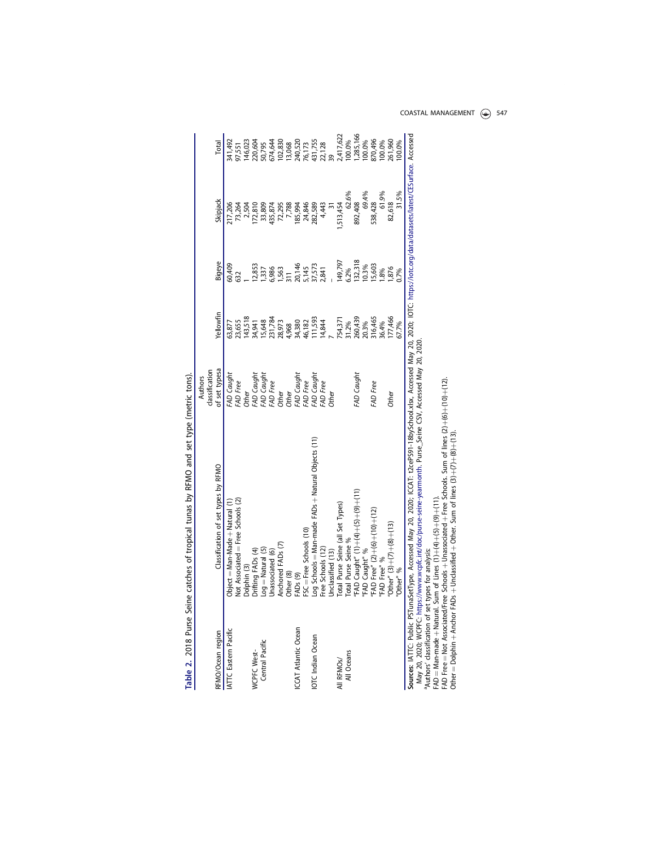|                              |                                                                                                                                                                                                                                                                                                       | classification<br>Authors |                                                        |                                                    |                 |                                                                                                                    |
|------------------------------|-------------------------------------------------------------------------------------------------------------------------------------------------------------------------------------------------------------------------------------------------------------------------------------------------------|---------------------------|--------------------------------------------------------|----------------------------------------------------|-----------------|--------------------------------------------------------------------------------------------------------------------|
| RFMO/Ocean region            | Classification of set types by RFMO                                                                                                                                                                                                                                                                   | of set typesa             | Yellowfin                                              | Bigeye                                             | Skipjack        | Total                                                                                                              |
| <b>IATTC</b> Eastern Pacific | Object = Man-Made + Natural (1)                                                                                                                                                                                                                                                                       | FAD Caught                | 53,877                                                 | 60,409                                             | 217,206         | 341,492                                                                                                            |
|                              | Not Associated = Free Schools (2)                                                                                                                                                                                                                                                                     | FAD Free                  |                                                        | 632                                                |                 |                                                                                                                    |
|                              | Dolphin (3)                                                                                                                                                                                                                                                                                           | <b>Other</b>              | 23,655<br>143,518                                      |                                                    | 73,264<br>2,504 |                                                                                                                    |
| <b>NCPFC West-</b>           | Orifting FADs (4)                                                                                                                                                                                                                                                                                     | FAD Caught                | 34,941                                                 | 12,853                                             | 172,810         |                                                                                                                    |
| Central Pacific              | $Log = Natural (5)$                                                                                                                                                                                                                                                                                   | FAD Caughi                | 15,648                                                 | 1,337                                              | 33,809          |                                                                                                                    |
|                              | Jnassociated (6)                                                                                                                                                                                                                                                                                      | <b>FAD</b> Free           | 231,784                                                | 5,986                                              | 435,874         |                                                                                                                    |
|                              | Anchored FADs (7                                                                                                                                                                                                                                                                                      | <b>Other</b>              |                                                        |                                                    | 72,295          |                                                                                                                    |
|                              | Other <sub>(8)</sub>                                                                                                                                                                                                                                                                                  | <b>ther</b>               |                                                        |                                                    | 7,788           |                                                                                                                    |
| ICCAT Atlantic Ocean         | FAD <sub>s</sub> (9)                                                                                                                                                                                                                                                                                  | AD Caugh:                 |                                                        |                                                    | 185,994         |                                                                                                                    |
|                              | -SC = Free Schools (10)                                                                                                                                                                                                                                                                               | AD Free                   |                                                        |                                                    | 24,846          |                                                                                                                    |
| <b>IOTC</b> Indian Ocean     | -og Schools = Man-made FADs + Natural Objects (11)                                                                                                                                                                                                                                                    | -AD Caught                | 28,973<br>4,968<br>4,380<br>46,182<br>11,593<br>14,844 | 1,563<br>311<br>20,145<br>5,145<br>37,573<br>2,841 | 282,589         | 97,551<br>146,023<br>146,034,644,644,6330<br>12,036,652,652,755<br>12,036,652,7552,755<br>12,038,7552,852,7552,755 |
|                              | Free Schools (12)                                                                                                                                                                                                                                                                                     | AD Free                   |                                                        |                                                    | 4,443           |                                                                                                                    |
|                              | Jnclassified (13)                                                                                                                                                                                                                                                                                     | Dther                     |                                                        |                                                    |                 |                                                                                                                    |
| All RFMOS/                   | Total Purse Seine (all Set Types)                                                                                                                                                                                                                                                                     |                           |                                                        | 149,797                                            | ,513,454        |                                                                                                                    |
| All Oceans                   |                                                                                                                                                                                                                                                                                                       |                           | 754,371<br>31.2%                                       | 6.2%                                               | 62.6%           | 2,417,622<br>100.0%                                                                                                |
|                              | Total Purse Seine %<br>"FAD Caught" (1)+(4)+(5)+(9)+(11)                                                                                                                                                                                                                                              | FAD Caught                | 260,439                                                | 132,318                                            | 892,408         |                                                                                                                    |
|                              | FAD Caught" %                                                                                                                                                                                                                                                                                         |                           | 20.3%                                                  | 10.3%                                              | 69.4%           | 1,285,166<br>100.0%                                                                                                |
|                              | 'FAD Free" $(2)+(6)(10)+(12)$                                                                                                                                                                                                                                                                         | FAD Free                  | 316,465                                                | 15,603                                             | 538,428         | 870,496                                                                                                            |
|                              | FAD Free" %                                                                                                                                                                                                                                                                                           |                           | 36.4%                                                  | 1.8%                                               | 61.9%           |                                                                                                                    |
|                              | Other" $(3)+(8)+(13)$                                                                                                                                                                                                                                                                                 | Other                     | 177,466                                                | ,876                                               | 82,618          | 100.0%<br>261,960                                                                                                  |
|                              | Other" %                                                                                                                                                                                                                                                                                              |                           | 67.7%                                                  | 0.7%                                               | 31.5%           | 00.0%                                                                                                              |
|                              | Sources: IAITC: Public PSTunaSetType, Accessed May 20, 2020; ICCAT: t2cePS91-18bySchool.xlsx, Accessed May 20, 2020; IOTC: https://iotc.org/data/datasetx/latest/CESurface. Accessed<br>Ador OC DOOR LATER Later (According to the later concernence contract the College College of According to DOO |                           |                                                        |                                                    |                 |                                                                                                                    |

Table 2. 2018 Purse Seine catches of tropical tunas by RFMO and set type (metric tons). Table 2. 2018 Purse Seine catches of tropical tunas by RFMO and set type (metric tons).

 $\hat{\boldsymbol{\beta}}$ 

May 20, 2020; WCPFC: https://www.wcpfc.int/doc/purse-seine-yearmonth. Purse\_Seine CSV, Accessed May 20, 2020.<br>\*Authors' classification of set types for analysis:<br>FAD Free an to As-the section of the Schools + Unassociated May 20, 2020; WCPFC: <https://www.wcpfc.int/doc/purse-seine-yearmonth>. Purse\_Seine CSV, Accessed May 20, 2020.

<sup>a</sup>Authors' classification of set types for analysis:

 $FAD = Man-made + Natural$ . Sum of Lines  $(1)+(4)+(5)+(7)$ 

FAD Free  $=$  Not Associated/Free Schools  $+$  Unassociated  $+$  Free Schools. Sum of lines (2) $+$ (0) $+$ (10) $+$ (12).

Other = Dolphin + Anchor FADs + Unclassified sum of lines (3)+(7)+(8)+(13).

 $\frac{1}{2}$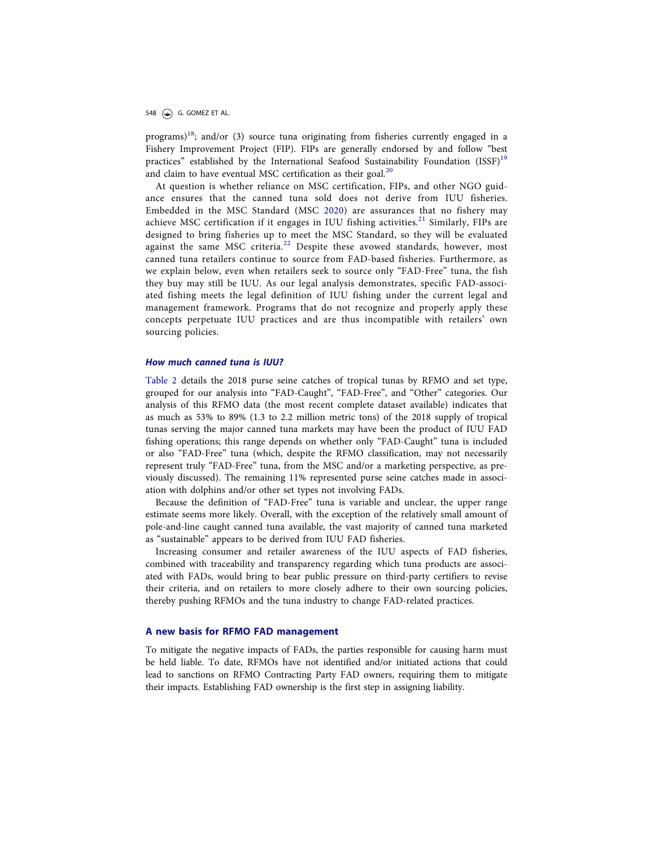programs)<sup>18</sup>; and/or (3) source tuna originating from fisheries currently engaged in a Fishery Improvement Project (FIP). FIPs are generally endorsed by and follow "best practices" established by the International Seafood Sustainability Foundation (ISSF)<sup>19</sup> and claim to have eventual MSC certification as their goal.<sup>20</sup>

At question is whether reliance on MSC certification, FIPs, and other NGO guidance ensures that the canned tuna sold does not derive from IUU fisheries. Embedded in the MSC Standard (MSC 2020) are assurances that no fishery may achieve MSC certification if it engages in IUU fishing activities.<sup>21</sup> Similarly, FIPs are designed to bring fisheries up to meet the MSC Standard, so they will be evaluated against the same MSC criteria.<sup>22</sup> Despite these avowed standards, however, most canned tuna retailers continue to source from FAD-based fisheries. Furthermore, as we explain below, even when retailers seek to source only "FAD-Free" tuna, the fish they buy may still be IUU. As our legal analysis demonstrates, specific FAD-associated fishing meets the legal definition of IUU fishing under the current legal and management framework. Programs that do not recognize and properly apply these concepts perpetuate IUU practices and are thus incompatible with retailers' own sourcing policies.

## How much canned tuna is IUU?

Table 2 details the 2018 purse seine catches of tropical tunas by RFMO and set type, grouped for our analysis into "FAD-Caught", "FAD-Free", and "Other" categories. Our analysis of this RFMO data (the most recent complete dataset available) indicates that as much as 53% to 89% (1.3 to 2.2 million metric tons) of the 2018 supply of tropical tunas serving the major canned tuna markets may have been the product of IUU FAD fishing operations; this range depends on whether only "FAD-Caught" tuna is included or also "FAD-Free" tuna (which, despite the RFMO classification, may not necessarily represent truly "FAD-Free" tuna, from the MSC and/or a marketing perspective, as previously discussed). The remaining 11% represented purse seine catches made in association with dolphins and/or other set types not involving FADs.

Because the definition of "FAD-Free" tuna is variable and unclear, the upper range estimate seems more likely. Overall, with the exception of the relatively small amount of pole-and-line caught canned tuna available, the vast majority of canned tuna marketed as "sustainable" appears to be derived from IUU FAD fisheries.

Increasing consumer and retailer awareness of the IUU aspects of FAD fisheries, combined with traceability and transparency regarding which tuna products are associated with FADs, would bring to bear public pressure on third-party certifiers to revise their criteria, and on retailers to more closely adhere to their own sourcing policies, thereby pushing RFMOs and the tuna industry to change FAD-related practices.

#### A new basis for RFMO FAD management

To mitigate the negative impacts of FADs, the parties responsible for causing harm must be held liable. To date, RFMOs have not identified and/or initiated actions that could lead to sanctions on RFMO Contracting Party FAD owners, requiring them to mitigate their impacts. Establishing FAD ownership is the first step in assigning liability.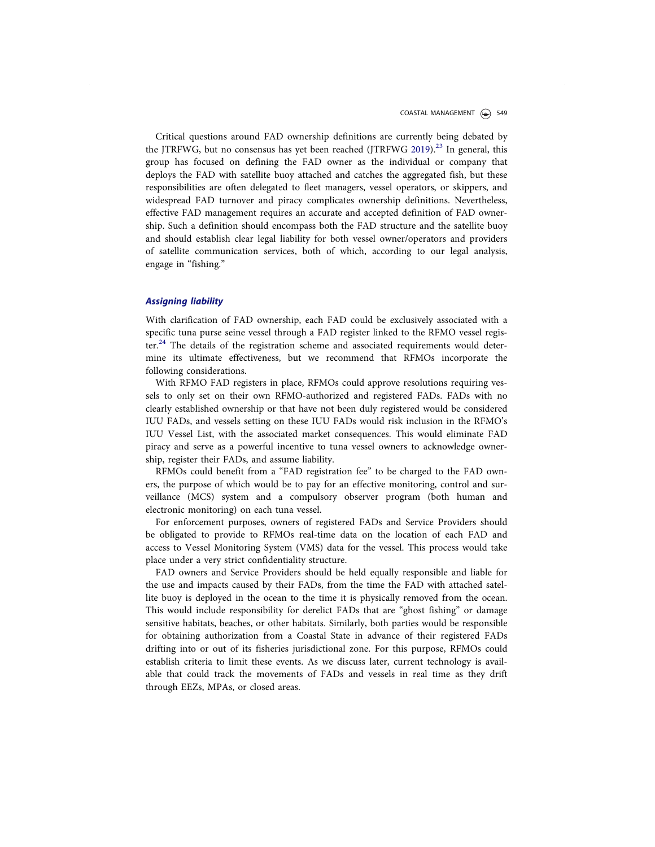Critical questions around FAD ownership definitions are currently being debated by the JTRFWG, but no consensus has yet been reached (JTRFWG 2019).<sup>23</sup> In general, this group has focused on defining the FAD owner as the individual or company that deploys the FAD with satellite buoy attached and catches the aggregated fish, but these responsibilities are often delegated to fleet managers, vessel operators, or skippers, and widespread FAD turnover and piracy complicates ownership definitions. Nevertheless, effective FAD management requires an accurate and accepted definition of FAD ownership. Such a definition should encompass both the FAD structure and the satellite buoy and should establish clear legal liability for both vessel owner/operators and providers of satellite communication services, both of which, according to our legal analysis, engage in "fishing."

#### Assigning liability

With clarification of FAD ownership, each FAD could be exclusively associated with a specific tuna purse seine vessel through a FAD register linked to the RFMO vessel register.<sup>24</sup> The details of the registration scheme and associated requirements would determine its ultimate effectiveness, but we recommend that RFMOs incorporate the following considerations.

With RFMO FAD registers in place, RFMOs could approve resolutions requiring vessels to only set on their own RFMO-authorized and registered FADs. FADs with no clearly established ownership or that have not been duly registered would be considered IUU FADs, and vessels setting on these IUU FADs would risk inclusion in the RFMO's IUU Vessel List, with the associated market consequences. This would eliminate FAD piracy and serve as a powerful incentive to tuna vessel owners to acknowledge ownership, register their FADs, and assume liability.

RFMOs could benefit from a "FAD registration fee" to be charged to the FAD owners, the purpose of which would be to pay for an effective monitoring, control and surveillance (MCS) system and a compulsory observer program (both human and electronic monitoring) on each tuna vessel.

For enforcement purposes, owners of registered FADs and Service Providers should be obligated to provide to RFMOs real-time data on the location of each FAD and access to Vessel Monitoring System (VMS) data for the vessel. This process would take place under a very strict confidentiality structure.

FAD owners and Service Providers should be held equally responsible and liable for the use and impacts caused by their FADs, from the time the FAD with attached satellite buoy is deployed in the ocean to the time it is physically removed from the ocean. This would include responsibility for derelict FADs that are "ghost fishing" or damage sensitive habitats, beaches, or other habitats. Similarly, both parties would be responsible for obtaining authorization from a Coastal State in advance of their registered FADs drifting into or out of its fisheries jurisdictional zone. For this purpose, RFMOs could establish criteria to limit these events. As we discuss later, current technology is available that could track the movements of FADs and vessels in real time as they drift through EEZs, MPAs, or closed areas.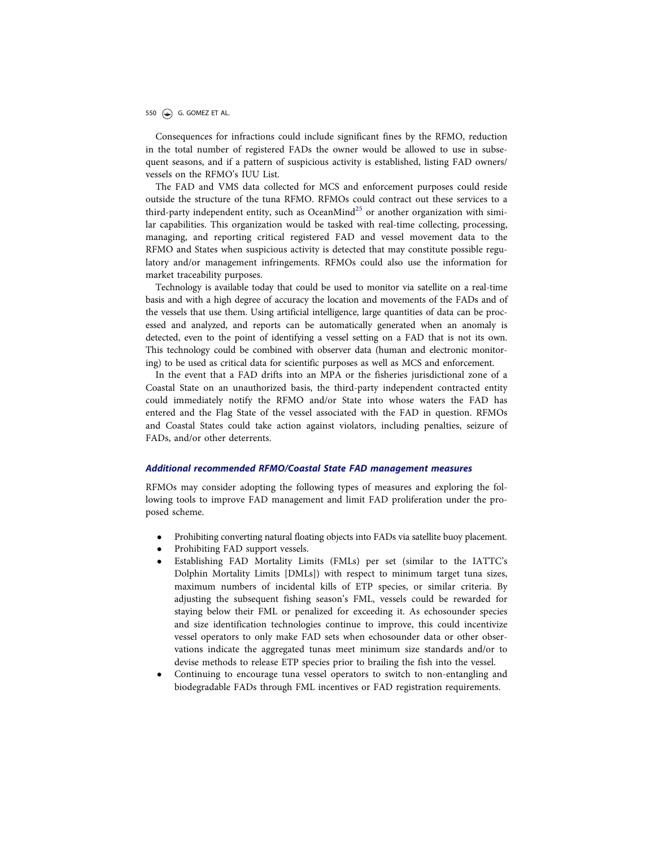Consequences for infractions could include significant fines by the RFMO, reduction in the total number of registered FADs the owner would be allowed to use in subsequent seasons, and if a pattern of suspicious activity is established, listing FAD owners/ vessels on the RFMO's IUU List.

The FAD and VMS data collected for MCS and enforcement purposes could reside outside the structure of the tuna RFMO. RFMOs could contract out these services to a third-party independent entity, such as OceanMind<sup>25</sup> or another organization with similar capabilities. This organization would be tasked with real-time collecting, processing, managing, and reporting critical registered FAD and vessel movement data to the RFMO and States when suspicious activity is detected that may constitute possible regulatory and/or management infringements. RFMOs could also use the information for market traceability purposes.

Technology is available today that could be used to monitor via satellite on a real-time basis and with a high degree of accuracy the location and movements of the FADs and of the vessels that use them. Using artificial intelligence, large quantities of data can be processed and analyzed, and reports can be automatically generated when an anomaly is detected, even to the point of identifying a vessel setting on a FAD that is not its own. This technology could be combined with observer data (human and electronic monitoring) to be used as critical data for scientific purposes as well as MCS and enforcement.

In the event that a FAD drifts into an MPA or the fisheries jurisdictional zone of a Coastal State on an unauthorized basis, the third-party independent contracted entity could immediately notify the RFMO and/or State into whose waters the FAD has entered and the Flag State of the vessel associated with the FAD in question. RFMOs and Coastal States could take action against violators, including penalties, seizure of FADs, and/or other deterrents.

#### Additional recommended RFMO/Coastal State FAD management measures

RFMOs may consider adopting the following types of measures and exploring the following tools to improve FAD management and limit FAD proliferation under the proposed scheme.

- ! Prohibiting converting natural floating objects into FADs via satellite buoy placement.
- Prohibiting FAD support vessels.
- ! Establishing FAD Mortality Limits (FMLs) per set (similar to the IATTC's Dolphin Mortality Limits [DMLs]) with respect to minimum target tuna sizes, maximum numbers of incidental kills of ETP species, or similar criteria. By adjusting the subsequent fishing season's FML, vessels could be rewarded for staying below their FML or penalized for exceeding it. As echosounder species and size identification technologies continue to improve, this could incentivize vessel operators to only make FAD sets when echosounder data or other observations indicate the aggregated tunas meet minimum size standards and/or to devise methods to release ETP species prior to brailing the fish into the vessel.
- ! Continuing to encourage tuna vessel operators to switch to non-entangling and biodegradable FADs through FML incentives or FAD registration requirements.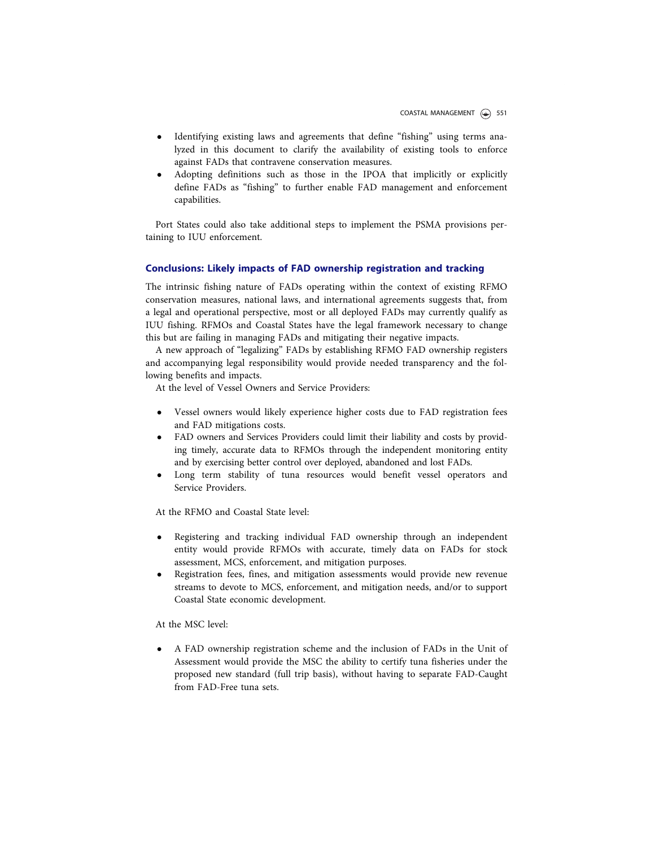- ! Identifying existing laws and agreements that define "fishing" using terms analyzed in this document to clarify the availability of existing tools to enforce against FADs that contravene conservation measures.
- ! Adopting definitions such as those in the IPOA that implicitly or explicitly define FADs as "fishing" to further enable FAD management and enforcement capabilities.

Port States could also take additional steps to implement the PSMA provisions pertaining to IUU enforcement.

## Conclusions: Likely impacts of FAD ownership registration and tracking

The intrinsic fishing nature of FADs operating within the context of existing RFMO conservation measures, national laws, and international agreements suggests that, from a legal and operational perspective, most or all deployed FADs may currently qualify as IUU fishing. RFMOs and Coastal States have the legal framework necessary to change this but are failing in managing FADs and mitigating their negative impacts.

A new approach of "legalizing" FADs by establishing RFMO FAD ownership registers and accompanying legal responsibility would provide needed transparency and the following benefits and impacts.

At the level of Vessel Owners and Service Providers:

- ! Vessel owners would likely experience higher costs due to FAD registration fees and FAD mitigations costs.
- ! FAD owners and Services Providers could limit their liability and costs by providing timely, accurate data to RFMOs through the independent monitoring entity and by exercising better control over deployed, abandoned and lost FADs.
- ! Long term stability of tuna resources would benefit vessel operators and Service Providers.

At the RFMO and Coastal State level:

- ! Registering and tracking individual FAD ownership through an independent entity would provide RFMOs with accurate, timely data on FADs for stock assessment, MCS, enforcement, and mitigation purposes.
- Registration fees, fines, and mitigation assessments would provide new revenue streams to devote to MCS, enforcement, and mitigation needs, and/or to support Coastal State economic development.

At the MSC level:

! A FAD ownership registration scheme and the inclusion of FADs in the Unit of Assessment would provide the MSC the ability to certify tuna fisheries under the proposed new standard (full trip basis), without having to separate FAD-Caught from FAD-Free tuna sets.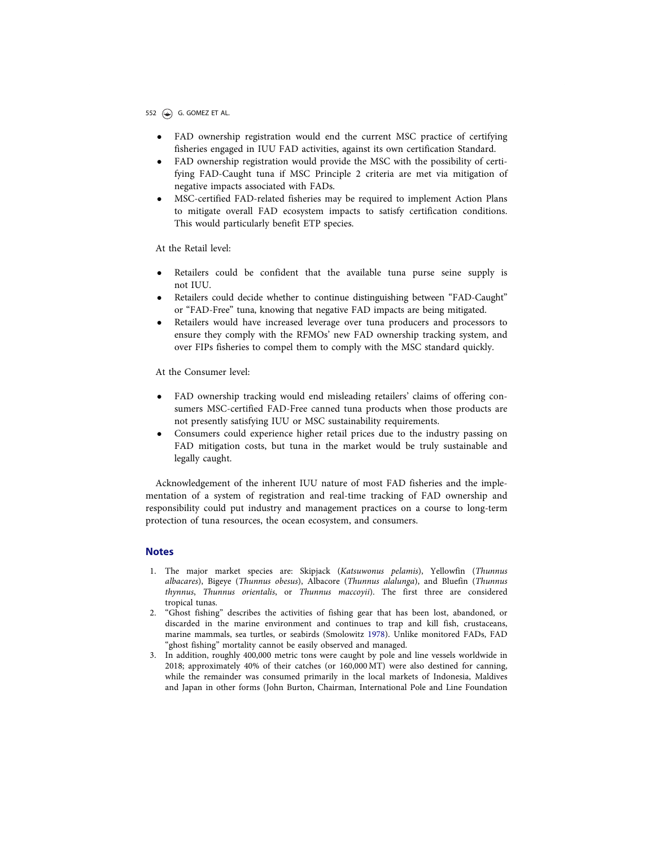- ! FAD ownership registration would end the current MSC practice of certifying fisheries engaged in IUU FAD activities, against its own certification Standard.
- ! FAD ownership registration would provide the MSC with the possibility of certifying FAD-Caught tuna if MSC Principle 2 criteria are met via mitigation of negative impacts associated with FADs.
- ! MSC-certified FAD-related fisheries may be required to implement Action Plans to mitigate overall FAD ecosystem impacts to satisfy certification conditions. This would particularly benefit ETP species.

At the Retail level:

- Retailers could be confident that the available tuna purse seine supply is not IUU.
- Retailers could decide whether to continue distinguishing between "FAD-Caught" or "FAD-Free" tuna, knowing that negative FAD impacts are being mitigated.
- Retailers would have increased leverage over tuna producers and processors to ensure they comply with the RFMOs' new FAD ownership tracking system, and over FIPs fisheries to compel them to comply with the MSC standard quickly.

At the Consumer level:

- ! FAD ownership tracking would end misleading retailers' claims of offering consumers MSC-certified FAD-Free canned tuna products when those products are not presently satisfying IUU or MSC sustainability requirements.
- Consumers could experience higher retail prices due to the industry passing on FAD mitigation costs, but tuna in the market would be truly sustainable and legally caught.

Acknowledgement of the inherent IUU nature of most FAD fisheries and the implementation of a system of registration and real-time tracking of FAD ownership and responsibility could put industry and management practices on a course to long-term protection of tuna resources, the ocean ecosystem, and consumers.

#### **Notes**

- 1. The major market species are: Skipjack (Katsuwonus pelamis), Yellowfin (Thunnus albacares), Bigeye (Thunnus obesus), Albacore (Thunnus alalunga), and Bluefin (Thunnus thynnus, Thunnus orientalis, or Thunnus maccoyii). The first three are considered tropical tunas.
- 2. "Ghost fishing" describes the activities of fishing gear that has been lost, abandoned, or discarded in the marine environment and continues to trap and kill fish, crustaceans, marine mammals, sea turtles, or seabirds (Smolowitz 1978). Unlike monitored FADs, FAD "ghost fishing" mortality cannot be easily observed and managed.
- 3. In addition, roughly 400,000 metric tons were caught by pole and line vessels worldwide in 2018; approximately 40% of their catches (or 160,000 MT) were also destined for canning, while the remainder was consumed primarily in the local markets of Indonesia, Maldives and Japan in other forms (John Burton, Chairman, International Pole and Line Foundation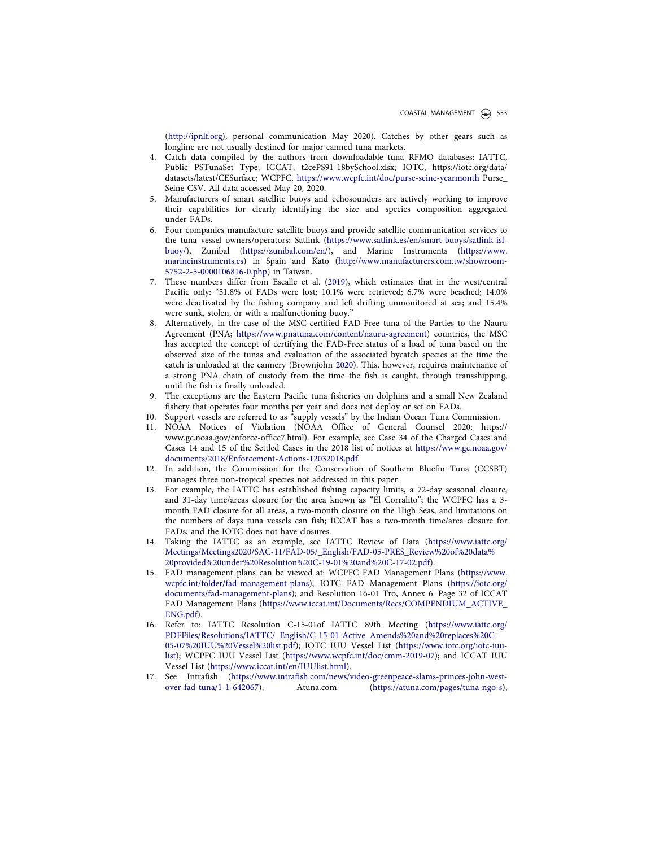[\(http://ipnlf.org\)](http://ipnlf.org), personal communication May 2020). Catches by other gears such as longline are not usually destined for major canned tuna markets.

- 4. Catch data compiled by the authors from downloadable tuna RFMO databases: IATTC, Public PSTunaSet Type; ICCAT, t2cePS91-18bySchool.xlsx; IOTC, https://iotc.org/data/ datasets/latest/CESurface; WCPFC, <https://www.wcpfc.int/doc/purse-seine-yearmonth> Purse\_ Seine CSV. All data accessed May 20, 2020.
- 5. Manufacturers of smart satellite buoys and echosounders are actively working to improve their capabilities for clearly identifying the size and species composition aggregated under FADs.
- 6. Four companies manufacture satellite buoys and provide satellite communication services to the tuna vessel owners/operators: Satlink ([https://www.satlink.es/en/smart-buoys/satlink-isl](https://www.satlink.es/en/smart-buoys/satlink-isl-buoy/)[buoy/](https://www.satlink.es/en/smart-buoys/satlink-isl-buoy/)), Zunibal [\(https://zunibal.com/en/\)](https://zunibal.com/en/), and Marine Instruments ([https://www.](https://www.marineinstruments.es) [marineinstruments.es\)](https://www.marineinstruments.es) in Spain and Kato [\(http://www.manufacturers.com.tw/showroom-](http://www.manufacturers.com.tw/showroom-5752-2-5-0000106816-0.php)[5752-2-5-0000106816-0.php\)](http://www.manufacturers.com.tw/showroom-5752-2-5-0000106816-0.php) in Taiwan.
- 7. These numbers differ from Escalle et al. (2019), which estimates that in the west/central Pacific only: "51.8% of FADs were lost; 10.1% were retrieved; 6.7% were beached; 14.0% were deactivated by the fishing company and left drifting unmonitored at sea; and 15.4% were sunk, stolen, or with a malfunctioning buoy."
- 8. Alternatively, in the case of the MSC-certified FAD-Free tuna of the Parties to the Nauru Agreement (PNA; <https://www.pnatuna.com/content/nauru-agreement>) countries, the MSC has accepted the concept of certifying the FAD-Free status of a load of tuna based on the observed size of the tunas and evaluation of the associated bycatch species at the time the catch is unloaded at the cannery (Brownjohn 2020). This, however, requires maintenance of a strong PNA chain of custody from the time the fish is caught, through transshipping, until the fish is finally unloaded.
- 9. The exceptions are the Eastern Pacific tuna fisheries on dolphins and a small New Zealand fishery that operates four months per year and does not deploy or set on FADs.
- 10. Support vessels are referred to as "supply vessels" by the Indian Ocean Tuna Commission.
- 11. NOAA Notices of Violation (NOAA Office of General Counsel 2020; https:// www.gc.noaa.gov/enforce-office7.html). For example, see Case 34 of the Charged Cases and Cases 14 and 15 of the Settled Cases in the 2018 list of notices at [https://www.gc.noaa.gov/](https://www.gc.noaa.gov/documents/2018/Enforcement-Actions-12032018.pdf) [documents/2018/Enforcement-Actions-12032018.pdf.](https://www.gc.noaa.gov/documents/2018/Enforcement-Actions-12032018.pdf)
- 12. In addition, the Commission for the Conservation of Southern Bluefin Tuna (CCSBT) manages three non-tropical species not addressed in this paper.
- 13. For example, the IATTC has established fishing capacity limits, a 72-day seasonal closure, and 31-day time/areas closure for the area known as "El Corralito"; the WCPFC has a 3 month FAD closure for all areas, a two-month closure on the High Seas, and limitations on the numbers of days tuna vessels can fish; ICCAT has a two-month time/area closure for FADs; and the IOTC does not have closures.
- 14. Taking the IATTC as an example, see IATTC Review of Data [\(https://www.iattc.org/](https://www.iattc.org/Meetings/Meetings2020/SAC-11/FAD-05/_English/FAD-05-PRES_Review%20of%20data%20provided%20under%20Resolution%20C-19-01%20and%20C-17-02.pdf) [Meetings/Meetings2020/SAC-11/FAD-05/\\_English/FAD-05-PRES\\_Review%20of%20data%](https://www.iattc.org/Meetings/Meetings2020/SAC-11/FAD-05/_English/FAD-05-PRES_Review%20of%20data%20provided%20under%20Resolution%20C-19-01%20and%20C-17-02.pdf) [20provided%20under%20Resolution%20C-19-01%20and%20C-17-02.pdf](https://www.iattc.org/Meetings/Meetings2020/SAC-11/FAD-05/_English/FAD-05-PRES_Review%20of%20data%20provided%20under%20Resolution%20C-19-01%20and%20C-17-02.pdf)).
- 15. FAD management plans can be viewed at: WCPFC FAD Management Plans ([https://www.](https://www.wcpfc.int/folder/fad-management-plans) [wcpfc.int/folder/fad-management-plans](https://www.wcpfc.int/folder/fad-management-plans)); IOTC FAD Management Plans [\(https://iotc.org/](https://iotc.org/documents/fad-management-plans) [documents/fad-management-plans\)](https://iotc.org/documents/fad-management-plans); and Resolution 16-01 Tro, Annex 6. Page 32 of ICCAT FAD Management Plans [\(https://www.iccat.int/Documents/Recs/COMPENDIUM\\_ACTIVE\\_](https://www.iccat.int/Documents/Recs/COMPENDIUM_ACTIVE_ENG.pdf) [ENG.pdf\)](https://www.iccat.int/Documents/Recs/COMPENDIUM_ACTIVE_ENG.pdf).
- 16. Refer to: IATTC Resolution C-15-01of IATTC 89th Meeting [\(https://www.iattc.org/](https://www.iattc.org/PDFFiles/Resolutions/IATTC/_English/C-15-01-Active_Amends%20and%20replaces%20C-05-07%20IUU%20Vessel%20list.pdf) [PDFFiles/Resolutions/IATTC/\\_English/C-15-01-Active\\_Amends%20and%20replaces%20C-](https://www.iattc.org/PDFFiles/Resolutions/IATTC/_English/C-15-01-Active_Amends%20and%20replaces%20C-05-07%20IUU%20Vessel%20list.pdf)[05-07%20IUU%20Vessel%20list.pdf](https://www.iattc.org/PDFFiles/Resolutions/IATTC/_English/C-15-01-Active_Amends%20and%20replaces%20C-05-07%20IUU%20Vessel%20list.pdf)); IOTC IUU Vessel List ([https://www.iotc.org/iotc-iuu](https://www.iotc.org/iotc-iuu-list)[list](https://www.iotc.org/iotc-iuu-list)); WCPFC IUU Vessel List (<https://www.wcpfc.int/doc/cmm-2019-07>); and ICCAT IUU Vessel List ([https://www.iccat.int/en/IUUlist.html\)](https://www.iccat.int/en/IUUlist.html).
- 17. See Intrafish [\(https://www.intrafish.com/news/video-greenpeace-slams-princes-john-west](https://www.intrafish.com/news/video-greenpeace-slams-princes-john-west-over-fad-tuna/1-1-642067)[over-fad-tuna/1-1-642067\)](https://www.intrafish.com/news/video-greenpeace-slams-princes-john-west-over-fad-tuna/1-1-642067), Atuna.com ([https://atuna.com/pages/tuna-ngo-s\)](https://atuna.com/pages/tuna-ngo-s),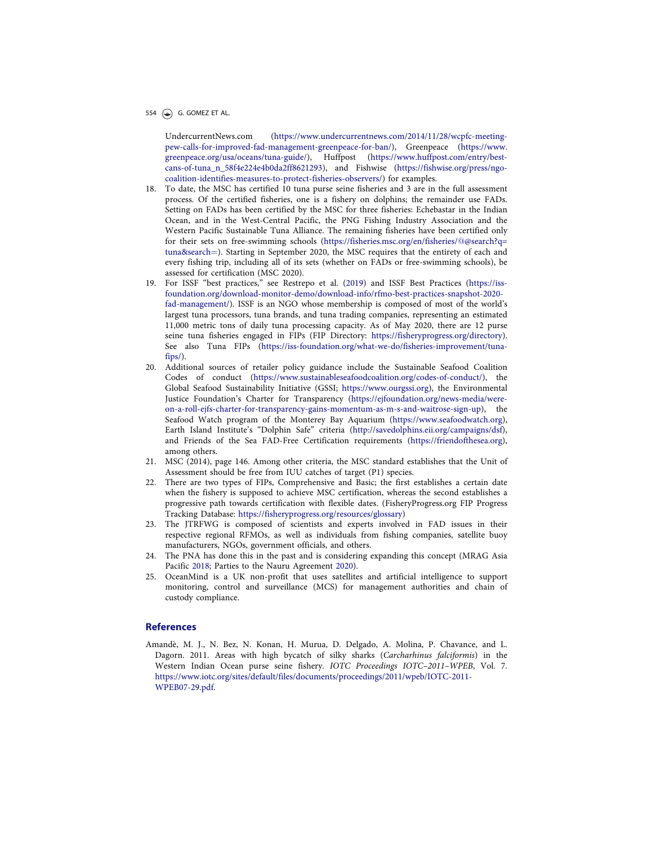UndercurrentNews.com [\(https://www.undercurrentnews.com/2014/11/28/wcpfc-meeting](https://www.undercurrentnews.com/2014/11/28/wcpfc-meeting-pew-calls-for-improved-fad-management-greenpeace-for-ban/)[pew-calls-for-improved-fad-management-greenpeace-for-ban/\)](https://www.undercurrentnews.com/2014/11/28/wcpfc-meeting-pew-calls-for-improved-fad-management-greenpeace-for-ban/), Greenpeace ([https://www.](https://www.greenpeace.org/usa/oceans/tuna-guide/) [greenpeace.org/usa/oceans/tuna-guide/\)](https://www.greenpeace.org/usa/oceans/tuna-guide/), Huffpost ([https://www.huffpost.com/entry/best](https://www.huffpost.com/entry/best-cans-of-tuna_n_58f4e224e4b0da2ff8621293)[cans-of-tuna\\_n\\_58f4e224e4b0da2ff8621293](https://www.huffpost.com/entry/best-cans-of-tuna_n_58f4e224e4b0da2ff8621293)), and Fishwise [\(https://fishwise.org/press/ngo](https://fishwise.org/press/ngo-coalition-identifies-measures-to-protect-fisheries-observers/)[coalition-identifies-measures-to-protect-fisheries-observers/](https://fishwise.org/press/ngo-coalition-identifies-measures-to-protect-fisheries-observers/)) for examples.

- 18. To date, the MSC has certified 10 tuna purse seine fisheries and 3 are in the full assessment process. Of the certified fisheries, one is a fishery on dolphins; the remainder use FADs. Setting on FADs has been certified by the MSC for three fisheries: Echebastar in the Indian Ocean, and in the West-Central Pacific, the PNG Fishing Industry Association and the Western Pacific Sustainable Tuna Alliance. The remaining fisheries have been certified only for their sets on free-swimming schools ([https://fisheries.msc.org/en/fisheries/](https://fisheries.msc.org/en/fisheries/@?q=tuna&search=)@@search?q= [tuna&search](https://fisheries.msc.org/en/fisheries/@?q=tuna&search=)=). Starting in September 2020, the MSC requires that the entirety of each and every fishing trip, including all of its sets (whether on FADs or free-swimming schools), be assessed for certification (MSC 2020).
- 19. For ISSF "best practices," see Restrepo et al. (2019) and ISSF Best Practices ([https://iss](https://iss-foundation.org/download-monitor-demo/download-info/rfmo-best-practices-snapshot-2020-fad-management/)[foundation.org/download-monitor-demo/download-info/rfmo-best-practices-snapshot-2020](https://iss-foundation.org/download-monitor-demo/download-info/rfmo-best-practices-snapshot-2020-fad-management/) [fad-management/\)](https://iss-foundation.org/download-monitor-demo/download-info/rfmo-best-practices-snapshot-2020-fad-management/). ISSF is an NGO whose membership is composed of most of the world's largest tuna processors, tuna brands, and tuna trading companies, representing an estimated 11,000 metric tons of daily tuna processing capacity. As of May 2020, there are 12 purse seine tuna fisheries engaged in FIPs (FIP Directory: [https://fisheryprogress.org/directory\)](https://fisheryprogress.org/directory). See also Tuna FIPs [\(https://iss-foundation.org/what-we-do/fisheries-improvement/tuna](https://iss-foundation.org/what-we-do/fisheries-improvement/tuna-fips/) $fins/$ ).
- 20. Additional sources of retailer policy guidance include the Sustainable Seafood Coalition Codes of conduct [\(https://www.sustainableseafoodcoalition.org/codes-of-conduct/\)](https://www.sustainableseafoodcoalition.org/codes-of-conduct/), the Global Seafood Sustainability Initiative (GSSI; [https://www.ourgssi.org\)](https://www.ourgssi.org), the Environmental Justice Foundation's Charter for Transparency [\(https://ejfoundation.org/news-media/were](https://ejfoundation.org/news-media/were-on-a-roll-ejfs-charter-for-transparency-gains-momentum-as-m-s-and-waitrose-sign-up)[on-a-roll-ejfs-charter-for-transparency-gains-momentum-as-m-s-and-waitrose-sign-up\)](https://ejfoundation.org/news-media/were-on-a-roll-ejfs-charter-for-transparency-gains-momentum-as-m-s-and-waitrose-sign-up), the Seafood Watch program of the Monterey Bay Aquarium [\(https://www.seafoodwatch.org\)](https://www.seafoodwatch.org), Earth Island Institute's "Dolphin Safe" criteria ([http://savedolphins.eii.org/campaigns/dsf\)](http://savedolphins.eii.org/campaigns/dsf), and Friends of the Sea FAD-Free Certification requirements ([https://friendofthesea.org\)](https://friendofthesea.org), among others.
- 21. MSC (2014), page 146. Among other criteria, the MSC standard establishes that the Unit of Assessment should be free from IUU catches of target (P1) species.
- 22. There are two types of FIPs, Comprehensive and Basic; the first establishes a certain date when the fishery is supposed to achieve MSC certification, whereas the second establishes a progressive path towards certification with flexible dates. (FisheryProgress.org FIP Progress Tracking Database: <https://fisheryprogress.org/resources/glossary>)
- 23. The JTRFWG is composed of scientists and experts involved in FAD issues in their respective regional RFMOs, as well as individuals from fishing companies, satellite buoy manufacturers, NGOs, government officials, and others.
- 24. The PNA has done this in the past and is considering expanding this concept (MRAG Asia Pacific 2018; Parties to the Nauru Agreement 2020).
- 25. OceanMind is a UK non-profit that uses satellites and artificial intelligence to support monitoring, control and surveillance (MCS) for management authorities and chain of custody compliance.

#### References

Amandè, M. J., N. Bez, N. Konan, H. Murua, D. Delgado, A. Molina, P. Chavance, and L. Dagorn. 2011. Areas with high bycatch of silky sharks (Carcharhinus falciformis) in the Western Indian Ocean purse seine fishery. IOTC Proceedings IOTC-2011-WPEB, Vol. 7. [https://www.iotc.org/sites/default/files/documents/proceedings/2011/wpeb/IOTC-2011-](https://www.iotc.org/sites/default/files/documents/proceedings/2011/wpeb/IOTC-2011-WPEB07-29.pdf) [WPEB07-29.pdf.](https://www.iotc.org/sites/default/files/documents/proceedings/2011/wpeb/IOTC-2011-WPEB07-29.pdf)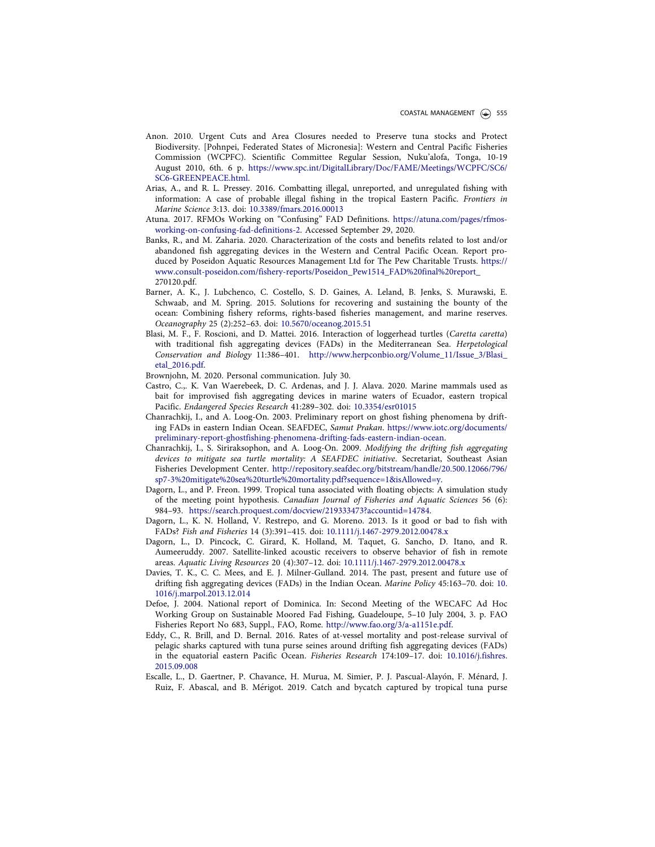- Anon. 2010. Urgent Cuts and Area Closures needed to Preserve tuna stocks and Protect Biodiversity. [Pohnpei, Federated States of Micronesia]: Western and Central Pacific Fisheries Commission (WCPFC). Scientific Committee Regular Session, Nuku'alofa, Tonga, 10-19 August 2010, 6th. 6 p. [https://www.spc.int/DigitalLibrary/Doc/FAME/Meetings/WCPFC/SC6/](https://www.spc.int/DigitalLibrary/Doc/FAME/Meetings/WCPFC/SC6/SC6-GREENPEACE.html) [SC6-GREENPEACE.html.](https://www.spc.int/DigitalLibrary/Doc/FAME/Meetings/WCPFC/SC6/SC6-GREENPEACE.html)
- Arias, A., and R. L. Pressey. 2016. Combatting illegal, unreported, and unregulated fishing with information: A case of probable illegal fishing in the tropical Eastern Pacific. Frontiers in Marine Science 3:13. doi: [10.3389/fmars.2016.00013](https://doi.org/10.3389/fmars.2016.00013)
- Atuna. 2017. RFMOs Working on "Confusing" FAD Definitions. [https://atuna.com/pages/rfmos](https://atuna.com/pages/rfmos-working-on-confusing-fad-definitions-2)[working-on-confusing-fad-definitions-2.](https://atuna.com/pages/rfmos-working-on-confusing-fad-definitions-2) Accessed September 29, 2020.
- Banks, R., and M. Zaharia. 2020. Characterization of the costs and benefits related to lost and/or abandoned fish aggregating devices in the Western and Central Pacific Ocean. Report produced by Poseidon Aquatic Resources Management Ltd for The Pew Charitable Trusts. [https://](https://www.consult-poseidon.com/fishery-reports/Poseidon_Pew1514_FAD%20final%20report_) [www.consult-poseidon.com/fishery-reports/Poseidon\\_Pew1514\\_FAD%20final%20report\\_](https://www.consult-poseidon.com/fishery-reports/Poseidon_Pew1514_FAD%20final%20report_) 270120.pdf.
- Barner, A. K., J. Lubchenco, C. Costello, S. D. Gaines, A. Leland, B. Jenks, S. Murawski, E. Schwaab, and M. Spring. 2015. Solutions for recovering and sustaining the bounty of the ocean: Combining fishery reforms, rights-based fisheries management, and marine reserves. Oceanography 25 (2):252–63. doi: [10.5670/oceanog.2015.51](https://doi.org/10.5670/oceanog.2015.51)
- Blasi, M. F., F. Roscioni, and D. Mattei. 2016. Interaction of loggerhead turtles (Caretta caretta) with traditional fish aggregating devices (FADs) in the Mediterranean Sea. Herpetological Conservation and Biology 11:386–401. [http://www.herpconbio.org/Volume\\_11/Issue\\_3/Blasi\\_](http://www.herpconbio.org/Volume_11/Issue_3/Blasi_etal_2016.pdf) [etal\\_2016.pdf](http://www.herpconbio.org/Volume_11/Issue_3/Blasi_etal_2016.pdf).
- Brownjohn, M. 2020. Personal communication. July 30.
- Castro, C.,. K. Van Waerebeek, D. C. Ardenas, and J. J. Alava. 2020. Marine mammals used as bait for improvised fish aggregating devices in marine waters of Ecuador, eastern tropical Pacific. Endangered Species Research 41:289–302. doi: [10.3354/esr01015](https://doi.org/10.3354/esr01015)
- Chanrachkij, I., and A. Loog-On. 2003. Preliminary report on ghost fishing phenomena by drifting FADs in eastern Indian Ocean. SEAFDEC, Samut Prakan. [https://www.iotc.org/documents/](https://www.iotc.org/documents/preliminary-report-ghostfishing-phenomena-drifting-fads-eastern-indian-ocean) [preliminary-report-ghostfishing-phenomena-drifting-fads-eastern-indian-ocean](https://www.iotc.org/documents/preliminary-report-ghostfishing-phenomena-drifting-fads-eastern-indian-ocean).
- Chanrachkij, I., S. Siriraksophon, and A. Loog-On. 2009. Modifying the drifting fish aggregating devices to mitigate sea turtle mortality: A SEAFDEC initiative. Secretariat, Southeast Asian Fisheries Development Center. [http://repository.seafdec.org/bitstream/handle/20.500.12066/796/](http://repository.seafdec.org/bitstream/handle/20.500.12066/796/sp7-3%20mitigate%20sea%20turtle%20mortality.pdf?sequence=1&isAllowed=y) [sp7-3%20mitigate%20sea%20turtle%20mortality.pdf?sequence=1&isAllowed=y](http://repository.seafdec.org/bitstream/handle/20.500.12066/796/sp7-3%20mitigate%20sea%20turtle%20mortality.pdf?sequence=1&isAllowed=y).
- Dagorn, L., and P. Freon. 1999. Tropical tuna associated with floating objects: A simulation study of the meeting point hypothesis. Canadian Journal of Fisheries and Aquatic Sciences 56 (6): 984–93. [https://search.proquest.com/docview/219333473?accountid=14784.](https://search.proquest.com/docview/219333473?accountid=14784)
- Dagorn, L., K. N. Holland, V. Restrepo, and G. Moreno. 2013. Is it good or bad to fish with FADs? Fish and Fisheries 14 (3):391–415. doi: [10.1111/j.1467-2979.2012.00478.x](https://doi.org/10.1111/j.1467-2979.2012.00478.x)
- Dagorn, L., D. Pincock, C. Girard, K. Holland, M. Taquet, G. Sancho, D. Itano, and R. Aumeeruddy. 2007. Satellite-linked acoustic receivers to observe behavior of fish in remote areas. Aquatic Living Resources 20 (4):307–12. doi: [10.1111/j.1467-2979.2012.00478.x](https://doi.org/10.1111/j.1467-2979.2012.00478.x)
- Davies, T. K., C. C. Mees, and E. J. Milner-Gulland. 2014. The past, present and future use of drifting fish aggregating devices (FADs) in the Indian Ocean. Marine Policy 45:163–70. doi: [10.](https://doi.org/10.1016/j.marpol.2013.12.014) [1016/j.marpol.2013.12.014](https://doi.org/10.1016/j.marpol.2013.12.014)
- Defoe, J. 2004. National report of Dominica. In: Second Meeting of the WECAFC Ad Hoc Working Group on Sustainable Moored Fad Fishing, Guadeloupe, 5–10 July 2004, 3. p. FAO Fisheries Report No 683, Suppl., FAO, Rome. [http://www.fao.org/3/a-a1151e.pdf.](http://www.fao.org/3/a-a1151e.pdf)
- Eddy, C., R. Brill, and D. Bernal. 2016. Rates of at-vessel mortality and post-release survival of pelagic sharks captured with tuna purse seines around drifting fish aggregating devices (FADs) in the equatorial eastern Pacific Ocean. Fisheries Research 174:109–17. doi: [10.1016/j.fishres.](https://doi.org/10.1016/j.fishres.2015.09.008) [2015.09.008](https://doi.org/10.1016/j.fishres.2015.09.008)
- Escalle, L., D. Gaertner, P. Chavance, H. Murua, M. Simier, P. J. Pascual-Alayón, F. Ménard, J. Ruiz, F. Abascal, and B. Mérigot. 2019. Catch and bycatch captured by tropical tuna purse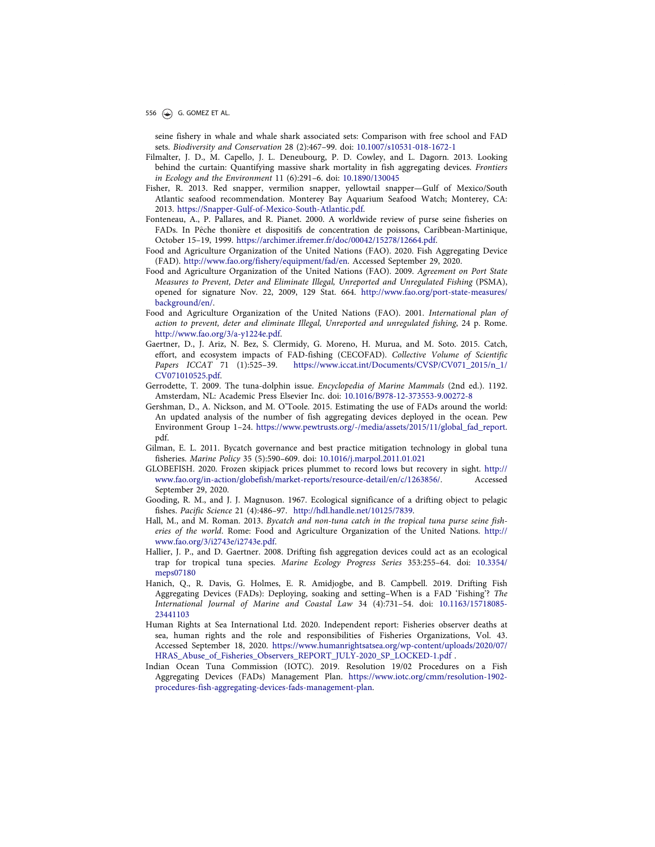556  $\left(\frac{1}{2}\right)$  G. GOMEZ ET AL.

seine fishery in whale and whale shark associated sets: Comparison with free school and FAD sets. Biodiversity and Conservation 28 (2):467–99. doi: [10.1007/s10531-018-1672-1](https://doi.org/10.1007/s10531-018-1672-1)

- Filmalter, J. D., M. Capello, J. L. Deneubourg, P. D. Cowley, and L. Dagorn. 2013. Looking behind the curtain: Quantifying massive shark mortality in fish aggregating devices. Frontiers in Ecology and the Environment 11 (6):291–6. doi: [10.1890/130045](https://doi.org/10.1890/130045)
- Fisher, R. 2013. Red snapper, vermilion snapper, yellowtail snapper—Gulf of Mexico/South Atlantic seafood recommendation. Monterey Bay Aquarium Seafood Watch; Monterey, CA: 2013. <https://Snapper-Gulf-of-Mexico-South-Atlantic.pdf>.
- Fonteneau, A., P. Pallares, and R. Pianet. 2000. A worldwide review of purse seine fisheries on FADs. In Pêche thonière et dispositifs de concentration de poissons, Caribbean-Martinique, October 15–19, 1999. <https://archimer.ifremer.fr/doc/00042/15278/12664.pdf>.
- Food and Agriculture Organization of the United Nations (FAO). 2020. Fish Aggregating Device (FAD). [http://www.fao.org/fishery/equipment/fad/en.](http://www.fao.org/fishery/equipment/fad/en) Accessed September 29, 2020.
- Food and Agriculture Organization of the United Nations (FAO). 2009. Agreement on Port State Measures to Prevent, Deter and Eliminate Illegal, Unreported and Unregulated Fishing (PSMA), opened for signature Nov. 22, 2009, 129 Stat. 664. [http://www.fao.org/port-state-measures/](http://www.fao.org/port-state-measures/background/en/) [background/en/.](http://www.fao.org/port-state-measures/background/en/)
- Food and Agriculture Organization of the United Nations (FAO). 2001. International plan of action to prevent, deter and eliminate Illegal, Unreported and unregulated fishing, 24 p. Rome. [http://www.fao.org/3/a-y1224e.pdf.](http://www.fao.org/3/a-y1224e.pdf)
- Gaertner, D., J. Ariz, N. Bez, S. Clermidy, G. Moreno, H. Murua, and M. Soto. 2015. Catch, effort, and ecosystem impacts of FAD-fishing (CECOFAD). Collective Volume of Scientific Papers ICCAT 71 (1):525–39. [https://www.iccat.int/Documents/CVSP/CV071\\_2015/n\\_1/](https://www.iccat.int/Documents/CVSP/CV071_2015/n_1/CV071010525.pdf) [CV071010525.pdf.](https://www.iccat.int/Documents/CVSP/CV071_2015/n_1/CV071010525.pdf)
- Gerrodette, T. 2009. The tuna-dolphin issue. Encyclopedia of Marine Mammals (2nd ed.). 1192. Amsterdam, NL: Academic Press Elsevier Inc. doi: [10.1016/B978-12-373553-9.00272-8](https://doi.org/10.1016/B978-12-373553-9.00272-8)
- Gershman, D., A. Nickson, and M. O'Toole. 2015. Estimating the use of FADs around the world: An updated analysis of the number of fish aggregating devices deployed in the ocean. Pew Environment Group 1–24. [https://www.pewtrusts.org/-/media/assets/2015/11/global\\_fad\\_report.](https://www.pewtrusts.org/-/media/assets/2015/11/global_fad_report) pdf.
- Gilman, E. L. 2011. Bycatch governance and best practice mitigation technology in global tuna fisheries. Marine Policy 35 (5):590–609. doi: [10.1016/j.marpol.2011.01.021](https://doi.org/10.1016/j.marpol.2011.01.021)
- GLOBEFISH. 2020. Frozen skipjack prices plummet to record lows but recovery in sight. [http://](http://www.fao.org/in-action/globefish/market-reports/resource-detail/en/c/1263856/) [www.fao.org/in-action/globefish/market-reports/resource-detail/en/c/1263856/.](http://www.fao.org/in-action/globefish/market-reports/resource-detail/en/c/1263856/) Accessed September 29, 2020.
- Gooding, R. M., and J. J. Magnuson. 1967. Ecological significance of a drifting object to pelagic fishes. Pacific Science 21 (4):486–97. [http://hdl.handle.net/10125/7839.](http://hdl.handle.net/10125/7839)
- Hall, M., and M. Roman. 2013. Bycatch and non-tuna catch in the tropical tuna purse seine fisheries of the world. Rome: Food and Agriculture Organization of the United Nations. [http://](http://www.fao.org/3/i2743e/i2743e.pdf) [www.fao.org/3/i2743e/i2743e.pdf.](http://www.fao.org/3/i2743e/i2743e.pdf)
- Hallier, J. P., and D. Gaertner. 2008. Drifting fish aggregation devices could act as an ecological trap for tropical tuna species. Marine Ecology Progress Series 353:255–64. doi: [10.3354/](https://doi.org/10.3354/meps07180) [meps07180](https://doi.org/10.3354/meps07180)
- Hanich, Q., R. Davis, G. Holmes, E. R. Amidjogbe, and B. Campbell. 2019. Drifting Fish Aggregating Devices (FADs): Deploying, soaking and setting–When is a FAD 'Fishing'? The International Journal of Marine and Coastal Law 34 (4):731–54. doi: [10.1163/15718085-](https://doi.org/10.1163/15718085-23441103) [23441103](https://doi.org/10.1163/15718085-23441103)
- Human Rights at Sea International Ltd. 2020. Independent report: Fisheries observer deaths at sea, human rights and the role and responsibilities of Fisheries Organizations, Vol. 43. Accessed September 18, 2020. [https://www.humanrightsatsea.org/wp-content/uploads/2020/07/](https://www.humanrightsatsea.org/wp-content/uploads/2020/07/HRAS_Abuse_of_Fisheries_Observers_REPORT_JULY-2020_SP_LOCKED-1.pdf) [HRAS\\_Abuse\\_of\\_Fisheries\\_Observers\\_REPORT\\_JULY-2020\\_SP\\_LOCKED-1.pdf](https://www.humanrightsatsea.org/wp-content/uploads/2020/07/HRAS_Abuse_of_Fisheries_Observers_REPORT_JULY-2020_SP_LOCKED-1.pdf) .
- Indian Ocean Tuna Commission (IOTC). 2019. Resolution 19/02 Procedures on a Fish Aggregating Devices (FADs) Management Plan. [https://www.iotc.org/cmm/resolution-1902](https://www.iotc.org/cmm/resolution-1902-procedures-fish-aggregating-devices-fads-management-plan) [procedures-fish-aggregating-devices-fads-management-plan](https://www.iotc.org/cmm/resolution-1902-procedures-fish-aggregating-devices-fads-management-plan).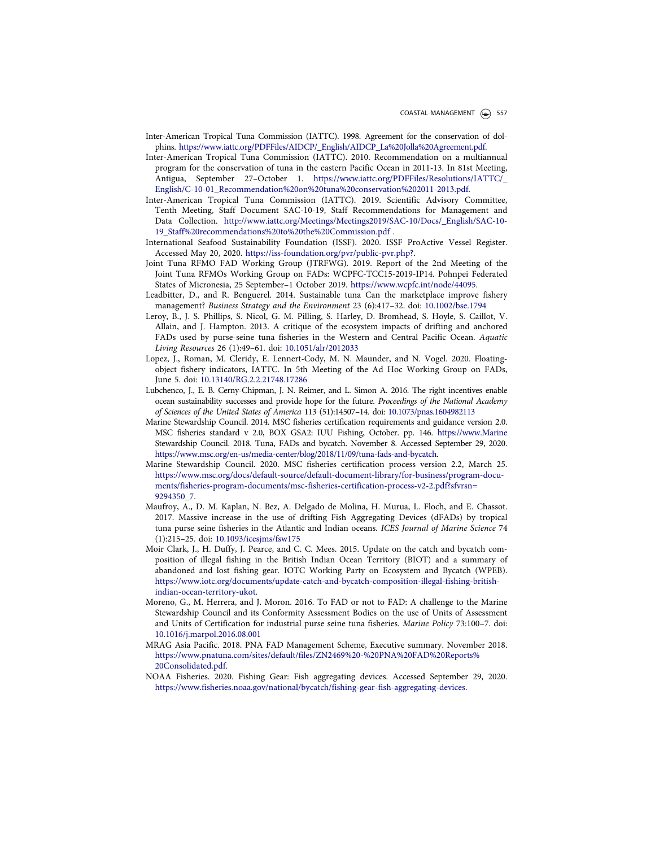- Inter-American Tropical Tuna Commission (IATTC). 1998. Agreement for the conservation of dolphins. [https://www.iattc.org/PDFFiles/AIDCP/\\_English/AIDCP\\_La%20Jolla%20Agreement.pdf.](https://www.iattc.org/PDFFiles/AIDCP/_English/AIDCP_La%20Jolla%20Agreement.pdf)
- Inter-American Tropical Tuna Commission (IATTC). 2010. Recommendation on a multiannual program for the conservation of tuna in the eastern Pacific Ocean in 2011-13. In 81st Meeting, Antigua, September 27–October 1. [https://www.iattc.org/PDFFiles/Resolutions/IATTC/\\_](https://www.iattc.org/PDFFiles/Resolutions/IATTC/_English/C-10-01_Recommendation%20on%20tuna%20conservation%202011-2013.pdf) [English/C-10-01\\_Recommendation%20on%20tuna%20conservation%202011-2013.pdf.](https://www.iattc.org/PDFFiles/Resolutions/IATTC/_English/C-10-01_Recommendation%20on%20tuna%20conservation%202011-2013.pdf)
- Inter-American Tropical Tuna Commission (IATTC). 2019. Scientific Advisory Committee, Tenth Meeting, Staff Document SAC-10-19, Staff Recommendations for Management and Data Collection. [http://www.iattc.org/Meetings/Meetings2019/SAC-10/Docs/\\_English/SAC-10-](http://www.iattc.org/Meetings/Meetings2019/SAC-10/Docs/_English/SAC-10-19_Staff%20recommendations%20to%20the%20Commission.pdf) [19\\_Staff%20recommendations%20to%20the%20Commission.pdf](http://www.iattc.org/Meetings/Meetings2019/SAC-10/Docs/_English/SAC-10-19_Staff%20recommendations%20to%20the%20Commission.pdf) .
- International Seafood Sustainability Foundation (ISSF). 2020. ISSF ProActive Vessel Register. Accessed May 20, 2020. [https://iss-foundation.org/pvr/public-pvr.php?.](https://iss-foundation.org/pvr/public-pvr.php?)
- Joint Tuna RFMO FAD Working Group (JTRFWG). 2019. Report of the 2nd Meeting of the Joint Tuna RFMOs Working Group on FADs: WCPFC-TCC15-2019-IP14. Pohnpei Federated States of Micronesia, 25 September–1 October 2019. [https://www.wcpfc.int/node/44095.](https://www.wcpfc.int/node/44095)
- Leadbitter, D., and R. Benguerel. 2014. Sustainable tuna Can the marketplace improve fishery management? Business Strategy and the Environment 23 (6):417–32. doi: [10.1002/bse.1794](https://doi.org/10.1002/bse.1794)
- Leroy, B., J. S. Phillips, S. Nicol, G. M. Pilling, S. Harley, D. Bromhead, S. Hoyle, S. Caillot, V. Allain, and J. Hampton. 2013. A critique of the ecosystem impacts of drifting and anchored FADs used by purse-seine tuna fisheries in the Western and Central Pacific Ocean. Aquatic Living Resources 26 (1):49–61. doi: [10.1051/alr/2012033](https://doi.org/10.1051/alr/2012033)
- Lopez, J., Roman, M. Cleridy, E. Lennert-Cody, M. N. Maunder, and N. Vogel. 2020. Floatingobject fishery indicators, IATTC. In 5th Meeting of the Ad Hoc Working Group on FADs, June 5. doi: [10.13140/RG.2.2.21748.17286](https://doi.org/10.13140/RG.2.2.21748.17286)
- Lubchenco, J., E. B. Cerny-Chipman, J. N. Reimer, and L. Simon A. 2016. The right incentives enable ocean sustainability successes and provide hope for the future. Proceedings of the National Academy of Sciences of the United States of America 113 (51):14507–14. doi: [10.1073/pnas.1604982113](https://doi.org/10.1073/pnas.1604982113)
- Marine Stewardship Council. 2014. MSC fisheries certification requirements and guidance version 2.0. MSC fisheries standard v 2.0, BOX GSA2: IUU Fishing, October. pp. 146. <https://www.Marine> Stewardship Council. 2018. Tuna, FADs and bycatch. November 8. Accessed September 29, 2020. <https://www.msc.org/en-us/media-center/blog/2018/11/09/tuna-fads-and-bycatch>.
- Marine Stewardship Council. 2020. MSC fisheries certification process version 2.2, March 25. [https://www.msc.org/docs/default-source/default-document-library/for-business/program-docu](https://www.msc.org/docs/default-source/default-document-library/for-business/program-documents/fisheries-program-documents/msc-fisheries-certification-process-v2-2.pdf?sfvrsn=9294350_7)[ments/fisheries-program-documents/msc-fisheries-certification-process-v2-2.pdf?sfvrsn=](https://www.msc.org/docs/default-source/default-document-library/for-business/program-documents/fisheries-program-documents/msc-fisheries-certification-process-v2-2.pdf?sfvrsn=9294350_7) [9294350\\_7](https://www.msc.org/docs/default-source/default-document-library/for-business/program-documents/fisheries-program-documents/msc-fisheries-certification-process-v2-2.pdf?sfvrsn=9294350_7).
- Maufroy, A., D. M. Kaplan, N. Bez, A. Delgado de Molina, H. Murua, L. Floch, and E. Chassot. 2017. Massive increase in the use of drifting Fish Aggregating Devices (dFADs) by tropical tuna purse seine fisheries in the Atlantic and Indian oceans. ICES Journal of Marine Science 74 (1):215–25. doi: [10.1093/icesjms/fsw175](https://doi.org/10.1093/icesjms/fsw175)
- Moir Clark, J., H. Duffy, J. Pearce, and C. C. Mees. 2015. Update on the catch and bycatch composition of illegal fishing in the British Indian Ocean Territory (BIOT) and a summary of abandoned and lost fishing gear. IOTC Working Party on Ecosystem and Bycatch (WPEB). [https://www.iotc.org/documents/update-catch-and-bycatch-composition-illegal-fishing-british](https://www.iotc.org/documents/update-catch-and-bycatch-composition-illegal-fishing-british-indian-ocean-territory-ukot)[indian-ocean-territory-ukot](https://www.iotc.org/documents/update-catch-and-bycatch-composition-illegal-fishing-british-indian-ocean-territory-ukot).
- Moreno, G., M. Herrera, and J. Moron. 2016. To FAD or not to FAD: A challenge to the Marine Stewardship Council and its Conformity Assessment Bodies on the use of Units of Assessment and Units of Certification for industrial purse seine tuna fisheries. Marine Policy 73:100–7. doi: [10.1016/j.marpol.2016.08.001](https://doi.org/10.1016/j.marpol.2016.08.001)
- MRAG Asia Pacific. 2018. PNA FAD Management Scheme, Executive summary. November 2018. [https://www.pnatuna.com/sites/default/files/ZN2469%20-%20PNA%20FAD%20Reports%](https://www.pnatuna.com/sites/default/files/ZN2469%20-%20PNA%20FAD%20Reports%20Consolidated.pdf) [20Consolidated.pdf.](https://www.pnatuna.com/sites/default/files/ZN2469%20-%20PNA%20FAD%20Reports%20Consolidated.pdf)
- NOAA Fisheries. 2020. Fishing Gear: Fish aggregating devices. Accessed September 29, 2020. <https://www.fisheries.noaa.gov/national/bycatch/fishing-gear-fish-aggregating-devices>.